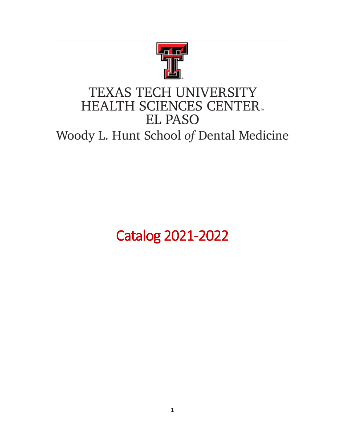

# TEXAS TECH UNIVERSITY **HEALTH SCIENCES CENTER. EL PASO**

Woody L. Hunt School of Dental Medicine

Catalog 2021-2022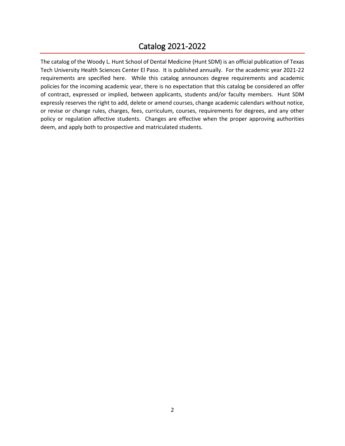### Catalog 2021-2022

The catalog of the Woody L. Hunt School of Dental Medicine (Hunt SDM) is an official publication of Texas Tech University Health Sciences Center El Paso. It is published annually. For the academic year 2021-22 requirements are specified here. While this catalog announces degree requirements and academic policies for the incoming academic year, there is no expectation that this catalog be considered an offer of contract, expressed or implied, between applicants, students and/or faculty members. Hunt SDM expressly reserves the right to add, delete or amend courses, change academic calendars without notice, or revise or change rules, charges, fees, curriculum, courses, requirements for degrees, and any other policy or regulation affective students. Changes are effective when the proper approving authorities deem, and apply both to prospective and matriculated students.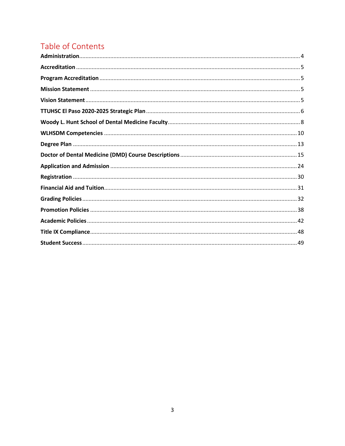## Table of Contents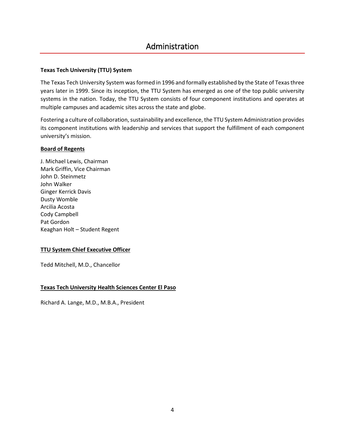### Administration

### <span id="page-3-0"></span>**Texas Tech University (TTU) System**

The Texas Tech University System was formed in 1996 and formally established by the State of Texas three years later in 1999. Since its inception, the TTU System has emerged as one of the top public university systems in the nation. Today, the TTU System consists of four component institutions and operates at multiple campuses and academic sites across the state and globe.

Fostering a culture of collaboration, sustainability and excellence, the TTU System Administration provides its component institutions with leadership and services that support the fulfillment of each component university's mission.

### **Board of Regents**

J. Michael Lewis, Chairman Mark Griffin, Vice Chairman John D. Steinmetz John Walker Ginger Kerrick Davis Dusty Womble Arcilia Acosta Cody Campbell Pat Gordon Keaghan Holt – Student Regent

### **TTU System Chief Executive Officer**

Tedd Mitchell, M.D., Chancellor

### **Texas Tech University Health Sciences Center El Paso**

Richard A. Lange, M.D., M.B.A., President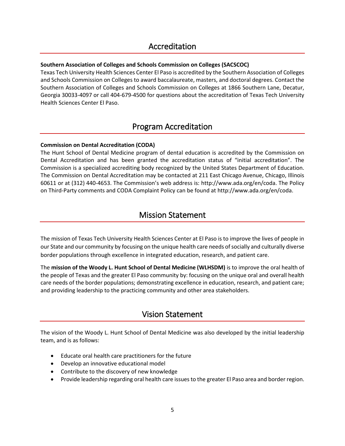### Accreditation

### <span id="page-4-0"></span>**Southern Association of Colleges and Schools Commission on Colleges (SACSCOC)**

Texas Tech University Health Sciences Center El Paso is accredited by the Southern Association of Colleges and Schools Commission on Colleges to award baccalaureate, masters, and doctoral degrees. Contact the Southern Association of Colleges and Schools Commission on Colleges at 1866 Southern Lane, Decatur, Georgia 30033-4097 or call 404-679-4500 for questions about the accreditation of Texas Tech University Health Sciences Center El Paso.

### Program Accreditation

### <span id="page-4-1"></span>**Commission on Dental Accreditation (CODA)**

The Hunt School of Dental Medicine program of dental education is accredited by the Commission on Dental Accreditation and has been granted the accreditation status of "initial accreditation". The Commission is a specialized accrediting body recognized by the United States Department of Education. The Commission on Dental Accreditation may be contacted at 211 East Chicago Avenue, Chicago, Illinois 60611 or at (312) 440-4653. The Commission's web address is: http://www.ada.org/en/coda. The Policy on Third-Party comments and CODA Complaint Policy can be found at http://www.ada.org/en/coda.

### Mission Statement

<span id="page-4-2"></span>The mission of Texas Tech University Health Sciences Center at El Paso is to improve the lives of people in our State and our community by focusing on the unique health care needs of socially and culturally diverse border populations through excellence in integrated education, research, and patient care.

The **mission of the Woody L. Hunt School of Dental Medicine (WLHSDM)** is to improve the oral health of the people of Texas and the greater El Paso community by: focusing on the unique oral and overall health care needs of the border populations; demonstrating excellence in education, research, and patient care; and providing leadership to the practicing community and other area stakeholders.

### Vision Statement

<span id="page-4-3"></span>The vision of the Woody L. Hunt School of Dental Medicine was also developed by the initial leadership team, and is as follows:

- Educate oral health care practitioners for the future
- Develop an innovative educational model
- Contribute to the discovery of new knowledge
- Provide leadership regarding oral health care issues to the greater El Paso area and border region.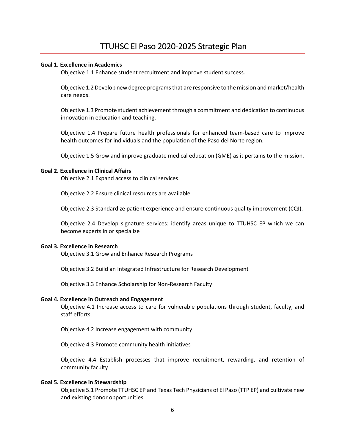### **Goal 1. Excellence in Academics**

<span id="page-5-0"></span>Objective 1.1 Enhance student recruitment and improve student success.

Objective 1.2 Develop new degree programs that are responsive to the mission and market/health care needs.

Objective 1.3 Promote student achievement through a commitment and dedication to continuous innovation in education and teaching.

Objective 1.4 Prepare future health professionals for enhanced team-based care to improve health outcomes for individuals and the population of the Paso del Norte region.

Objective 1.5 Grow and improve graduate medical education (GME) as it pertains to the mission.

### **Goal 2. Excellence in Clinical Affairs**

Objective 2.1 Expand access to clinical services.

Objective 2.2 Ensure clinical resources are available.

Objective 2.3 Standardize patient experience and ensure continuous quality improvement (CQI).

Objective 2.4 Develop signature services: identify areas unique to TTUHSC EP which we can become experts in or specialize

#### **Goal 3. Excellence in Research**

Objective 3.1 Grow and Enhance Research Programs

Objective 3.2 Build an Integrated Infrastructure for Research Development

Objective 3.3 Enhance Scholarship for Non-Research Faculty

#### **Goal 4. Excellence in Outreach and Engagement**

Objective 4.1 Increase access to care for vulnerable populations through student, faculty, and staff efforts.

Objective 4.2 Increase engagement with community.

Objective 4.3 Promote community health initiatives

Objective 4.4 Establish processes that improve recruitment, rewarding, and retention of community faculty

#### **Goal 5. Excellence in Stewardship**

Objective 5.1 Promote TTUHSC EP and Texas Tech Physicians of El Paso (TTP EP) and cultivate new and existing donor opportunities.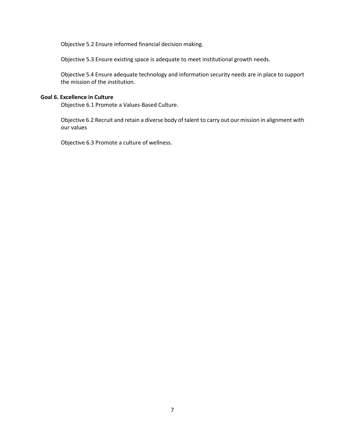Objective 5.2 Ensure informed financial decision making.

Objective 5.3 Ensure existing space is adequate to meet institutional growth needs.

Objective 5.4 Ensure adequate technology and information security needs are in place to support the mission of the institution.

### **Goal 6. Excellence in Culture**

Objective 6.1 Promote a Values-Based Culture.

Objective 6.2 Recruit and retain a diverse body of talent to carry out our mission in alignment with our values

Objective 6.3 Promote a culture of wellness.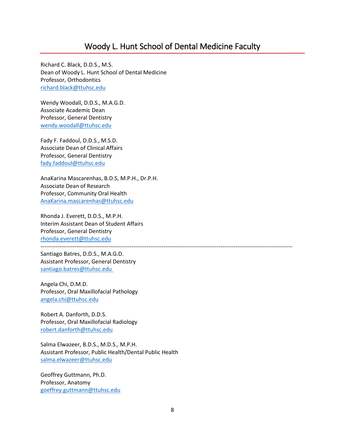### Woody L. Hunt School of Dental Medicine Faculty

<span id="page-7-0"></span>Richard C. Black, D.D.S., M.S. Dean of Woody L. Hunt School of Dental Medicine Professor, Orthodontics [richard.black@ttuhsc.edu](mailto:richard.black@ttuhsc.edu)

Wendy Woodall, D.D.S., M.A.G.D. Associate Academic Dean Professor, General Dentistry [wendy.woodall@ttuhsc.edu](mailto:wendy.woodall@ttuhsc.edu)

Fady F. Faddoul, D.D.S., M.S.D. Associate Dean of Clinical Affairs Professor, General Dentistry [fady.faddoul@ttuhsc.edu](mailto:fady.faddoul@ttuhsc.edu)

AnaKarina Mascarenhas, B.D.S, M.P.H., Dr.P.H. Associate Dean of Research Professor, Community Oral Health [AnaKarina.mascarenhas@ttuhsc.edu](mailto:AnaKarina.mascarenhas@ttuhsc.edu)

Rhonda J. Everett, D.D.S., M.P.H. Interim Assistant Dean of Student Affairs Professor, General Dentistry [rhonda.everett@ttuhsc.edu](mailto:rhonda.everett@ttuhsc.edu) -------------------------------------------------------------------------------------------------------------------------------------

Santiago Batres, D.D.S., M.A.G.D. Assistant Professor, General Dentistry [santiago.batres@ttuhsc.edu](mailto:santiago.batres@ttuhsc.edu%C2%A0)

Angela Chi, D.M.D. Professor, Oral Maxillofacial Pathology [angela.chi@ttuhsc.edu](mailto:angela.chi@ttuhsc.edu)

Robert A. Danforth, D.D.S. Professor, Oral Maxillofacial Radiology [robert.danforth@ttuhsc.edu](mailto:robert.danforth@ttuhsc.edu)

Salma Elwazeer, B.D.S., M.D.S., M.P.H. Assistant Professor, Public Health/Dental Public Health [salma.elwazeer@ttuhsc.edu](mailto:salma.elwazeer@ttuhsc.edu)

Geoffrey Guttmann, Ph.D. Professor, Anatomy [goeffrey.guttmann@ttuhsc.edu](mailto:goeffrey.guttmann@ttuhsc.edu)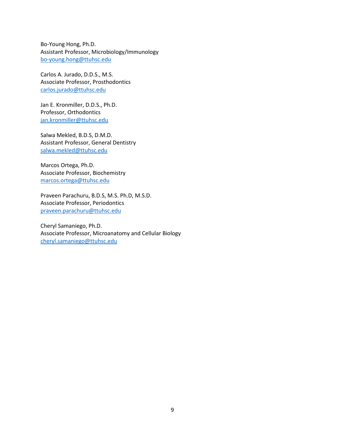Bo-Young Hong, Ph.D. Assistant Professor, Microbiology/Immunology [bo-young.hong@ttuhsc.edu](mailto:bo-young.hong@ttuhsc.edu)

Carlos A. Jurado, D.D.S., M.S. Associate Professor, Prosthodontics [carlos.jurado@ttuhsc.edu](mailto:carlos.jurado@ttuhsc.edu)

Jan E. Kronmiller, D.D.S., Ph.D. Professor, Orthodontics [jan.kronmiller@ttuhsc.edu](mailto:jan.kronmiller@ttuhsc.edu)

Salwa Mekled, B.D.S, D.M.D. Assistant Professor, General Dentistry [salwa.mekled@ttuhsc.edu](mailto:salwa.mekled@ttuhsc.edu)

Marcos Ortega, Ph.D. Associate Professor, Biochemistry [marcos.ortega@ttuhsc.edu](mailto:marcos.ortega@ttuhsc.edu)

Praveen Parachuru, B.D.S, M.S. Ph.D, M.S.D. Associate Professor, Periodontics [praveen.parachuru@ttuhsc.edu](mailto:praveen.parachuru@ttuhsc.edu)

Cheryl Samaniego, Ph.D. Associate Professor, Microanatomy and Cellular Biology [cheryl.samaniego@ttuhsc.edu](mailto:cheryl.samaniego@ttuhsc.edu)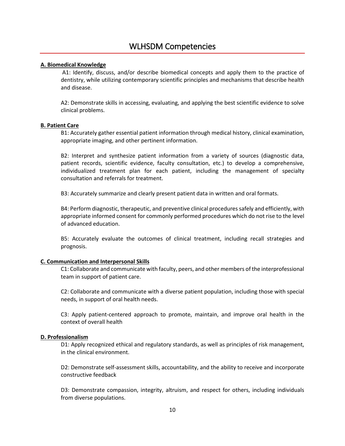### <span id="page-9-0"></span>**A. Biomedical Knowledge**

A1: Identify, discuss, and/or describe biomedical concepts and apply them to the practice of dentistry, while utilizing contemporary scientific principles and mechanisms that describe health and disease.

A2: Demonstrate skills in accessing, evaluating, and applying the best scientific evidence to solve clinical problems.

### **B. Patient Care**

B1: Accurately gather essential patient information through medical history, clinical examination, appropriate imaging, and other pertinent information.

B2: Interpret and synthesize patient information from a variety of sources (diagnostic data, patient records, scientific evidence, faculty consultation, etc.) to develop a comprehensive, individualized treatment plan for each patient, including the management of specialty consultation and referrals for treatment.

B3: Accurately summarize and clearly present patient data in written and oral formats.

B4: Perform diagnostic, therapeutic, and preventive clinical procedures safely and efficiently, with appropriate informed consent for commonly performed procedures which do not rise to the level of advanced education.

B5: Accurately evaluate the outcomes of clinical treatment, including recall strategies and prognosis.

### **C. Communication and Interpersonal Skills**

C1: Collaborate and communicate with faculty, peers, and other members of the interprofessional team in support of patient care.

C2: Collaborate and communicate with a diverse patient population, including those with special needs, in support of oral health needs.

C3: Apply patient-centered approach to promote, maintain, and improve oral health in the context of overall health

### **D. Professionalism**

D1: Apply recognized ethical and regulatory standards, as well as principles of risk management, in the clinical environment.

D2: Demonstrate self-assessment skills, accountability, and the ability to receive and incorporate constructive feedback

D3: Demonstrate compassion, integrity, altruism, and respect for others, including individuals from diverse populations.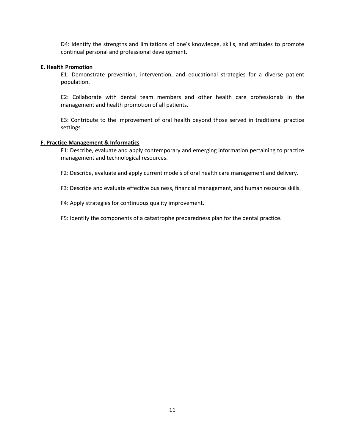D4: Identify the strengths and limitations of one's knowledge, skills, and attitudes to promote continual personal and professional development.

### **E. Health Promotion**

E1: Demonstrate prevention, intervention, and educational strategies for a diverse patient population.

E2: Collaborate with dental team members and other health care professionals in the management and health promotion of all patients.

E3: Contribute to the improvement of oral health beyond those served in traditional practice settings.

#### **F. Practice Management & Informatics**

F1: Describe, evaluate and apply contemporary and emerging information pertaining to practice management and technological resources.

F2: Describe, evaluate and apply current models of oral health care management and delivery.

F3: Describe and evaluate effective business, financial management, and human resource skills.

F4: Apply strategies for continuous quality improvement.

F5: Identify the components of a catastrophe preparedness plan for the dental practice.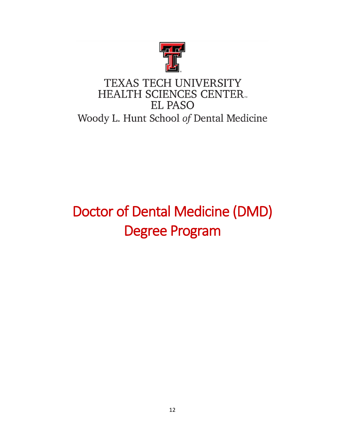

# TEXAS TECH UNIVERSITY **HEALTH SCIENCES CENTER. EL PASO** Woody L. Hunt School of Dental Medicine

# Doctor of Dental Medicine (DMD) Degree Program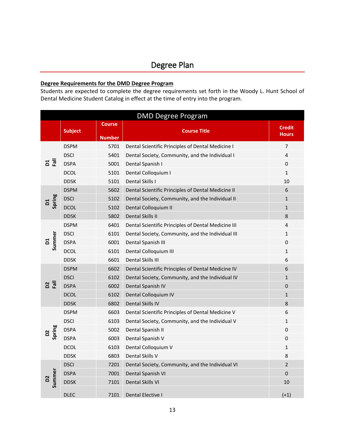### <span id="page-12-0"></span>**Degree Requirements for the DMD Degree Program**

Students are expected to complete the degree requirements set forth in the Woody L. Hunt School of Dental Medicine Student Catalog in effect at the time of entry into the program.

| <b>DMD Degree Program</b> |                |                                |                                                     |                               |  |  |
|---------------------------|----------------|--------------------------------|-----------------------------------------------------|-------------------------------|--|--|
|                           | <b>Subject</b> | <b>Course</b><br><b>Number</b> | <b>Course Title</b>                                 | <b>Credit</b><br><b>Hours</b> |  |  |
| <u>ដី ជ</u>               | <b>DSPM</b>    | 5701                           | Dental Scientific Principles of Dental Medicine I   | $\overline{7}$                |  |  |
|                           | <b>DSCI</b>    | 5401                           | Dental Society, Community, and the Individual I     | $\overline{4}$                |  |  |
|                           | <b>DSPA</b>    | 5001                           | Dental Spanish I                                    | 0                             |  |  |
|                           | <b>DCOL</b>    | 5101                           | Dental Colloquium I                                 | $\mathbf{1}$                  |  |  |
|                           | <b>DDSK</b>    | 5101                           | Dental Skills I                                     | 10                            |  |  |
|                           | <b>DSPM</b>    | 5602                           | Dental Scientific Principles of Dental Medicine II  | 6                             |  |  |
| Spring                    | <b>DSCI</b>    | 5102                           | Dental Society, Community, and the Individual II    | $\mathbf{1}$                  |  |  |
|                           | <b>DCOL</b>    | 5102                           | Dental Colloquium II                                | $\mathbf{1}$                  |  |  |
|                           | <b>DDSK</b>    | 5802                           | Dental Skills II                                    | 8                             |  |  |
|                           | <b>DSPM</b>    | 6401                           | Dental Scientific Principles of Dental Medicine III | 4                             |  |  |
|                           | <b>DSCI</b>    | 6101                           | Dental Society, Community, and the Individual III   | 1                             |  |  |
| Summer<br>$\overline{a}$  | <b>DSPA</b>    | 6001                           | Dental Spanish III                                  | 0                             |  |  |
|                           | <b>DCOL</b>    | 6101                           | Dental Colloquium III                               | $\mathbf 1$                   |  |  |
|                           | <b>DDSK</b>    | 6601                           | Dental Skills III                                   | 6                             |  |  |
|                           | <b>DSPM</b>    | 6602                           | Dental Scientific Principles of Dental Medicine IV  | 6                             |  |  |
|                           | <b>DSCI</b>    | 6102                           | Dental Society, Community, and the Individual IV    | $\mathbf{1}$                  |  |  |
| <u>ន ធ្</u>               | <b>DSPA</b>    | 6002                           | Dental Spanish IV                                   | $\mathbf 0$                   |  |  |
|                           | <b>DCOL</b>    | 6102                           | Dental Colloquium IV                                | $\mathbf{1}$                  |  |  |
|                           | <b>DDSK</b>    | 6802                           | Dental Skills IV                                    | 8                             |  |  |
| D <sub>2</sub><br>Spring  | <b>DSPM</b>    | 6603                           | Dental Scientific Principles of Dental Medicine V   | 6                             |  |  |
|                           | <b>DSCI</b>    | 6103                           | Dental Society, Community, and the Individual V     | $\mathbf{1}$                  |  |  |
|                           | <b>DSPA</b>    | 5002                           | Dental Spanish II                                   | 0                             |  |  |
|                           | <b>DSPA</b>    | 6003                           | Dental Spanish V                                    | 0                             |  |  |
|                           | <b>DCOL</b>    | 6103                           | Dental Colloquium V                                 | $\mathbf{1}$                  |  |  |
|                           | <b>DDSK</b>    | 6803                           | Dental Skills V                                     | 8                             |  |  |
|                           | <b>DSCI</b>    | 7201                           | Dental Society, Community, and the Individual VI    | $\overline{2}$                |  |  |
| Summer                    | <b>DSPA</b>    | 7001                           | Dental Spanish VI                                   | $\Omega$                      |  |  |
| $\overline{a}$            | <b>DDSK</b>    | 7101                           | Dental Skills VI                                    | 10                            |  |  |
|                           | <b>DLEC</b>    | 7101                           | <b>Dental Elective I</b>                            | $(+1)$                        |  |  |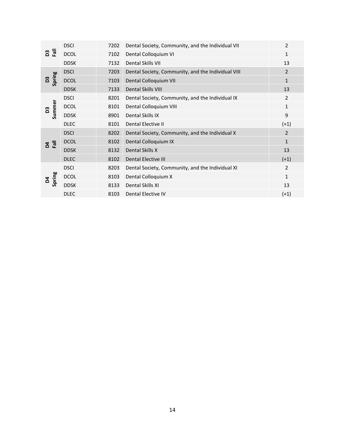|                                                                                      | <b>DSCI</b> | 7202                           | Dental Society, Community, and the Individual VII  | 2              |
|--------------------------------------------------------------------------------------|-------------|--------------------------------|----------------------------------------------------|----------------|
| ក្ខ ក្ខ                                                                              | <b>DCOL</b> | 7102                           | Dental Colloquium VI                               | 1              |
|                                                                                      | <b>DDSK</b> | 7132                           | Dental Skills VII                                  | 13             |
|                                                                                      | <b>DSCI</b> | 7203                           | Dental Society, Community, and the Individual VIII | $\overline{2}$ |
| Spring<br>B3                                                                         | <b>DCOL</b> | 7103                           | Dental Colloquium VII                              | $\mathbf{1}$   |
|                                                                                      | <b>DDSK</b> | 7133                           | <b>Dental Skills VIII</b>                          | 13             |
|                                                                                      | <b>DSCI</b> | 8201                           | Dental Society, Community, and the Individual IX   | $\overline{2}$ |
| Summer<br>23                                                                         | <b>DCOL</b> | 8101<br>Dental Colloquium VIII |                                                    | 1              |
| Dental Skills IX<br><b>DDSK</b><br>8901<br><b>DLEC</b><br>Dental Elective II<br>8101 |             | 9                              |                                                    |                |
|                                                                                      |             |                                |                                                    | $(+1)$         |
|                                                                                      |             |                                |                                                    |                |
|                                                                                      | <b>DSCI</b> | 8202                           | Dental Society, Community, and the Individual X    | $\overline{2}$ |
|                                                                                      | <b>DCOL</b> | 8102                           | Dental Colloquium IX                               | 1              |
| $\frac{1}{6}$                                                                        | <b>DDSK</b> | 8132                           | Dental Skills X                                    | 13             |
|                                                                                      | <b>DLEC</b> | 8102                           | Dental Elective III                                | $(+1)$         |
|                                                                                      | <b>DSCI</b> | 8203                           | Dental Society, Community, and the Individual XI   | 2              |
|                                                                                      | <b>DCOL</b> | 8103                           | Dental Colloquium X                                | $\mathbf{1}$   |
| Spring<br>Σđ                                                                         | <b>DDSK</b> | 8133                           | Dental Skills XI                                   | 13             |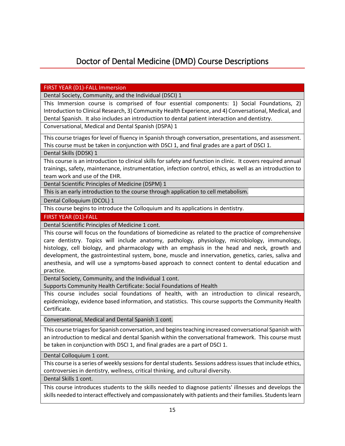### Doctor of Dental Medicine (DMD) Course Descriptions

<span id="page-14-0"></span>FIRST YEAR (D1)-FALL Immersion

Dental Society, Community, and the Individual (DSCI) 1

This Immersion course is comprised of four essential components: 1) Social Foundations, 2) Introduction to Clinical Research, 3) Community Health Experience, and 4) Conversational, Medical, and Dental Spanish. It also includes an introduction to dental patient interaction and dentistry.

Conversational, Medical and Dental Spanish (DSPA) 1

This course triages for level of fluency in Spanish through conversation, presentations, and assessment. This course must be taken in conjunction with DSCI 1, and final grades are a part of DSCI 1.

Dental Skills (DDSK) 1

This course is an introduction to clinical skills for safety and function in clinic. It covers required annual trainings, safety, maintenance, instrumentation, infection control, ethics, as well as an introduction to team work and use of the EHR.

Dental Scientific Principles of Medicine (DSPM) 1

This is an early introduction to the course through application to cell metabolism.

Dental Colloquium (DCOL) 1

This course begins to introduce the Colloquium and its applications in dentistry.

FIRST YEAR (D1)-FALL

Dental Scientific Principles of Medicine 1 cont.

This course will focus on the foundations of biomedicine as related to the practice of comprehensive care dentistry. Topics will include anatomy, pathology, physiology, microbiology, immunology, histology, cell biology, and pharmacology with an emphasis in the head and neck, growth and development, the gastrointestinal system, bone, muscle and innervation, genetics, caries, saliva and anesthesia, and will use a symptoms-based approach to connect content to dental education and practice.

Dental Society, Community, and the Individual 1 cont.

Supports Community Health Certificate: Social Foundations of Health

This course includes social foundations of health, with an introduction to clinical research, epidemiology, evidence based information, and statistics. This course supports the Community Health Certificate.

Conversational, Medical and Dental Spanish 1 cont.

This course triages for Spanish conversation, and begins teaching increased conversational Spanish with an introduction to medical and dental Spanish within the conversational framework. This course must be taken in conjunction with DSCI 1, and final grades are a part of DSCI 1.

Dental Colloquium 1 cont.

This course is a series of weekly sessions for dental students. Sessions address issues that include ethics, controversies in dentistry, wellness, critical thinking, and cultural diversity.

Dental Skills 1 cont.

This course introduces students to the skills needed to diagnose patients' illnesses and develops the skills needed to interact effectively and compassionately with patients and their families. Students learn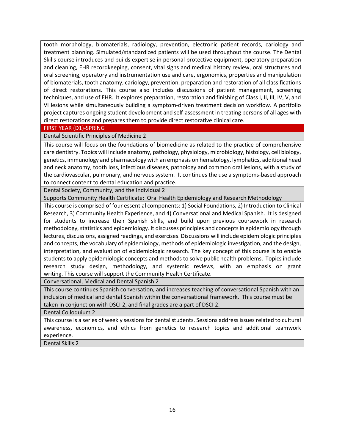tooth morphology, biomaterials, radiology, prevention, electronic patient records, cariology and treatment planning. Simulated/standardized patients will be used throughout the course. The Dental Skills course introduces and builds expertise in personal protective equipment, operatory preparation and cleaning, EHR recordkeeping, consent, vital signs and medical history review, oral structures and oral screening, operatory and instrumentation use and care, ergonomics, properties and manipulation of biomaterials, tooth anatomy, cariology, prevention, preparation and restoration of all classifications of direct restorations. This course also includes discussions of patient management, screening techniques, and use of EHR. It explores preparation, restoration and finishing of Class I, II, III, IV, V, and VI lesions while simultaneously building a symptom-driven treatment decision workflow. A portfolio project captures ongoing student development and self-assessment in treating persons of all ages with direct restorations and prepares them to provide direct restorative clinical care.

### FIRST YEAR (D1)-SPRING

### Dental Scientific Principles of Medicine 2

This course will focus on the foundations of biomedicine as related to the practice of comprehensive care dentistry. Topics will include anatomy, pathology, physiology, microbiology, histology, cell biology, genetics, immunology and pharmacology with an emphasis on hematology, lymphatics, additional head and neck anatomy, tooth loss, infectious diseases, pathology and common oral lesions, with a study of the cardiovascular, pulmonary, and nervous system. It continues the use a symptoms-based approach to connect content to dental education and practice.

Dental Society, Community, and the Individual 2

Supports Community Health Certificate: Oral Health Epidemiology and Research Methodology

This course is comprised of four essential components: 1) Social Foundations, 2) Introduction to Clinical Research, 3) Community Health Experience, and 4) Conversational and Medical Spanish. It is designed for students to increase their Spanish skills, and build upon previous coursework in research methodology, statistics and epidemiology. It discusses principles and concepts in epidemiology through lectures, discussions, assigned readings, and exercises. Discussions will include epidemiologic principles and concepts, the vocabulary of epidemiology, methods of epidemiologic investigation, and the design, interpretation, and evaluation of epidemiologic research. The key concept of this course is to enable students to apply epidemiologic concepts and methods to solve public health problems. Topics include research study design, methodology, and systemic reviews, with an emphasis on grant writing. This course will support the Community Health Certificate.

Conversational, Medical and Dental Spanish 2

This course continues Spanish conversation, and increases teaching of conversational Spanish with an inclusion of medical and dental Spanish within the conversational framework. This course must be taken in conjunction with DSCI 2, and final grades are a part of DSCI 2.

Dental Colloquium 2

This course is a series of weekly sessions for dental students. Sessions address issues related to cultural awareness, economics, and ethics from genetics to research topics and additional teamwork experience.

Dental Skills 2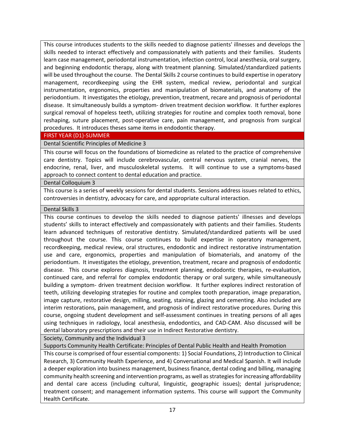This course introduces students to the skills needed to diagnose patients' illnesses and develops the skills needed to interact effectively and compassionately with patients and their families. Students learn case management, periodontal instrumentation, infection control, local anesthesia, oral surgery, and beginning endodontic therapy, along with treatment planning. Simulated/standardized patients will be used throughout the course. The Dental Skills 2 course continues to build expertise in operatory management, recordkeeping using the EHR system, medical review, periodontal and surgical instrumentation, ergonomics, properties and manipulation of biomaterials, and anatomy of the periodontium. It investigates the etiology, prevention, treatment, recare and prognosis of periodontal disease. It simultaneously builds a symptom- driven treatment decision workflow. It further explores surgical removal of hopeless teeth, utilizing strategies for routine and complex tooth removal, bone reshaping, suture placement, post-operative care, pain management, and prognosis from surgical procedures. It introduces theses same items in endodontic therapy.

### FIRST YEAR (D1)-SUMMER

### Dental Scientific Principles of Medicine 3

This course will focus on the foundations of biomedicine as related to the practice of comprehensive care dentistry. Topics will include cerebrovascular, central nervous system, cranial nerves, the endocrine, renal, liver, and musculoskeletal systems. It will continue to use a symptoms-based approach to connect content to dental education and practice.

### Dental Colloquium 3

This course is a series of weekly sessions for dental students. Sessions address issues related to ethics, controversies in dentistry, advocacy for care, and appropriate cultural interaction.

### Dental Skills 3

This course continues to develop the skills needed to diagnose patients' illnesses and develops students' skills to interact effectively and compassionately with patients and their families. Students learn advanced techniques of restorative dentistry. Simulated/standardized patients will be used throughout the course. This course continues to build expertise in operatory management, recordkeeping, medical review, oral structures, endodontic and indirect restorative instrumentation use and care, ergonomics, properties and manipulation of biomaterials, and anatomy of the periodontium. It investigates the etiology, prevention, treatment, recare and prognosis of endodontic disease. This course explores diagnosis, treatment planning, endodontic therapies, re-evaluation, continued care, and referral for complex endodontic therapy or oral surgery, while simultaneously building a symptom- driven treatment decision workflow. It further explores indirect restoration of teeth, utilizing developing strategies for routine and complex tooth preparation, image preparation, image capture, restorative design, milling, seating, staining, glazing and cementing. Also included are interim restorations, pain management, and prognosis of indirect restorative procedures. During this course, ongoing student development and self-assessment continues in treating persons of all ages using techniques in radiology, local anesthesia, endodontics, and CAD-CAM. Also discussed will be dental laboratory prescriptions and their use in Indirect Restorative dentistry.

Society, Community and the Individual 3

Supports Community Health Certificate: Principles of Dental Public Health and Health Promotion

This course is comprised of four essential components: 1) Social Foundations, 2) Introduction to Clinical Research, 3) Community Health Experience, and 4) Conversational and Medical Spanish. It will include a deeper exploration into business management, business finance, dental coding and billing, managing community health screening and intervention programs, as well as strategies for increasing affordability and dental care access (including cultural, linguistic, geographic issues); dental jurisprudence; treatment consent; and management information systems. This course will support the Community Health Certificate.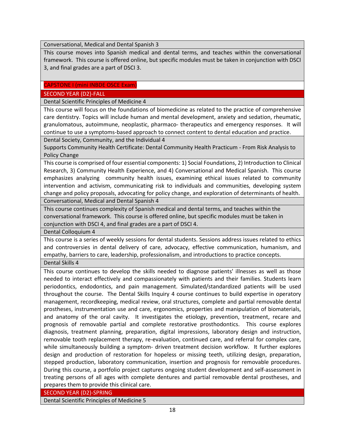Conversational, Medical and Dental Spanish 3

This course moves into Spanish medical and dental terms, and teaches within the conversational framework. This course is offered online, but specific modules must be taken in conjunction with DSCI 3, and final grades are a part of DSCI 3.

### CAPSTONE I (mini INBDE OSCE Exam)

### SECOND YEAR (D2)-FALL

Dental Scientific Principles of Medicine 4

This course will focus on the foundations of biomedicine as related to the practice of comprehensive care dentistry. Topics will include human and mental development, anxiety and sedation, rheumatic, granulomatous, autoimmune, neoplastic, pharmaco- therapeutics and emergency responses. It will continue to use a symptoms-based approach to connect content to dental education and practice.

Dental Society, Community, and the Individual 4

Supports Community Health Certificate: Dental Community Health Practicum - From Risk Analysis to Policy Change

This course is comprised of four essential components: 1) Social Foundations, 2) Introduction to Clinical Research, 3) Community Health Experience, and 4) Conversational and Medical Spanish. This course emphasizes analyzing community health issues, examining ethical issues related to community intervention and activism, communicating risk to individuals and communities, developing system change and policy proposals, advocating for policy change, and exploration of determinants of health.

Conversational, Medical and Dental Spanish 4

This course continues complexity of Spanish medical and dental terms, and teaches within the conversational framework. This course is offered online, but specific modules must be taken in conjunction with DSCI 4, and final grades are a part of DSCI 4.

Dental Colloquium 4

This course is a series of weekly sessions for dental students. Sessions address issues related to ethics and controversies in dental delivery of care, advocacy, effective communication, humanism, and empathy, barriers to care, leadership, professionalism, and introductions to practice concepts.

Dental Skills 4

This course continues to develop the skills needed to diagnose patients' illnesses as well as those needed to interact effectively and compassionately with patients and their families. Students learn periodontics, endodontics, and pain management. Simulated/standardized patients will be used throughout the course. The Dental Skills Inquiry 4 course continues to build expertise in operatory management, recordkeeping, medical review, oral structures, complete and partial removable dental prostheses, instrumentation use and care, ergonomics, properties and manipulation of biomaterials, and anatomy of the oral cavity. It investigates the etiology, prevention, treatment, recare and prognosis of removable partial and complete restorative prosthodontics. This course explores diagnosis, treatment planning, preparation, digital impressions, laboratory design and instruction, removable tooth replacement therapy, re-evaluation, continued care, and referral for complex care, while simultaneously building a symptom- driven treatment decision workflow. It further explores design and production of restoration for hopeless or missing teeth, utilizing design, preparation, stepped production, laboratory communication, insertion and prognosis for removable procedures. During this course, a portfolio project captures ongoing student development and self-assessment in treating persons of all ages with complete dentures and partial removable dental prostheses, and prepares them to provide this clinical care.

SECOND YEAR (D2)-SPRING

Dental Scientific Principles of Medicine 5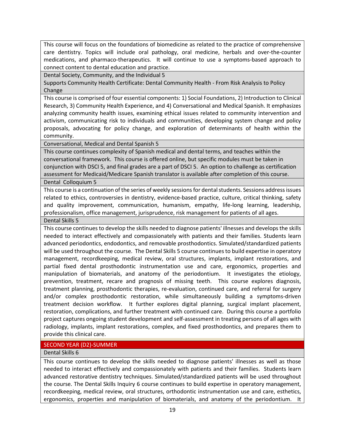This course will focus on the foundations of biomedicine as related to the practice of comprehensive care dentistry. Topics will include oral pathology, oral medicine, herbals and over-the-counter medications, and pharmaco-therapeutics. It will continue to use a symptoms-based approach to connect content to dental education and practice.

Dental Society, Community, and the Individual 5

Supports Community Health Certificate: Dental Community Health - From Risk Analysis to Policy Change

This course is comprised of four essential components: 1) Social Foundations, 2) Introduction to Clinical Research, 3) Community Health Experience, and 4) Conversational and Medical Spanish. It emphasizes analyzing community health issues, examining ethical issues related to community intervention and activism, communicating risk to individuals and communities, developing system change and policy proposals, advocating for policy change, and exploration of determinants of health within the community.

Conversational, Medical and Dental Spanish 5

This course continues complexity of Spanish medical and dental terms, and teaches within the conversational framework. This course is offered online, but specific modules must be taken in conjunction with DSCI 5, and final grades are a part of DSCI 5. An option to challenge as certification assessment for Medicaid/Medicare Spanish translator is available after completion of this course.

Dental Colloquium 5

This course is a continuation of the series of weekly sessions for dental students. Sessions address issues related to ethics, controversies in dentistry, evidence-based practice, culture, critical thinking, safety and quality improvement, communication, humanism, empathy, life-long learning, leadership, professionalism, office management, jurisprudence, risk management for patients of all ages.

Dental Skills 5

This course continues to develop the skills needed to diagnose patients' illnesses and develops the skills needed to interact effectively and compassionately with patients and their families. Students learn advanced periodontics, endodontics, and removable prosthodontics. Simulated/standardized patients will be used throughout the course. The Dental Skills 5 course continues to build expertise in operatory management, recordkeeping, medical review, oral structures, implants, implant restorations, and partial fixed dental prosthodontic instrumentation use and care, ergonomics, properties and manipulation of biomaterials, and anatomy of the periodontium. It investigates the etiology, prevention, treatment, recare and prognosis of missing teeth. This course explores diagnosis, treatment planning, prosthodontic therapies, re-evaluation, continued care, and referral for surgery and/or complex prosthodontic restoration, while simultaneously building a symptoms-driven treatment decision workflow. It further explores digital planning, surgical implant placement, restoration, complications, and further treatment with continued care. During this course a portfolio project captures ongoing student development and self-assessment in treating persons of all ages with radiology, implants, implant restorations, complex, and fixed prosthodontics, and prepares them to provide this clinical care.

### SECOND YEAR (D2)-SUMMER

Dental Skills 6

This course continues to develop the skills needed to diagnose patients' illnesses as well as those needed to interact effectively and compassionately with patients and their families. Students learn advanced restorative dentistry techniques. Simulated/standardized patients will be used throughout the course. The Dental Skills Inquiry 6 course continues to build expertise in operatory management, recordkeeping, medical review, oral structures, orthodontic instrumentation use and care, esthetics, ergonomics, properties and manipulation of biomaterials, and anatomy of the periodontium. It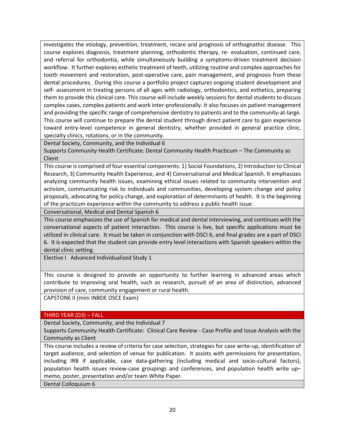investigates the etiology, prevention, treatment, recare and prognosis of orthognathic disease. This course explores diagnosis, treatment planning, orthodontic therapy, re- evaluation, continued care, and referral for orthodontia, while simultaneously building a symptoms-driven treatment decision workflow. It further explores esthetic treatment of teeth, utilizing routine and complex approaches for tooth movement and restoration, post-operative care, pain management, and prognosis from these dental procedures. During this course a portfolio project captures ongoing student development and self- assessment in treating persons of all ages with radiology, orthodontics, and esthetics, preparing them to provide this clinical care. This course will include weekly sessions for dental students to discuss complex cases, complex patients and work inter-professionally. It also focuses on patient management and providing the specific range of comprehensive dentistry to patients and to the community-at-large. This course will continue to prepare the dental student through direct patient care to gain experience toward entry-level competence in general dentistry, whether provided in general practice clinic, specialty clinics, rotations, or in the community.

Dental Society, Community, and the Individual 6

Supports Community Health Certificate: Dental Community Health Practicum – The Community as Client

This course is comprised of four essential components: 1) Social Foundations, 2) Introduction to Clinical Research, 3) Community Health Experience, and 4) Conversational and Medical Spanish. It emphasizes analyzing community health issues, examining ethical issues related to community intervention and activism, communicating risk to individuals and communities, developing system change and policy proposals, advocating for policy change, and exploration of determinants of health. It is the beginning of the practicum experience within the community to address a public health issue.

Conversational, Medical and Dental Spanish 6

This course emphasizes the use of Spanish for medical and dental interviewing, and continues with the conversational aspects of patient interaction. This course is live, but specific applications must be utilized in clinical care. It must be taken in conjunction with DSCI 6, and final grades are a part of DSCI 6. It is expected that the student can provide entry level interactions with Spanish speakers within the dental clinic setting.

Elective I Advanced Individualized Study 1

This course is designed to provide an opportunity to further learning in advanced areas which contribute to improving oral health, such as research, pursuit of an area of distinction, advanced provision of care, community engagement or rural health.

CAPSTONE II (mini INBDE OSCE Exam)

### THIRD YEAR (D3) – FALL

Dental Society, Community, and the Individual 7

Supports Community Health Certificate: Clinical Care Review - Case Profile and Issue Analysis with the Community as Client

This course includes a review of criteria for case selection, strategies for case write-up, identification of target audience, and selection of venue for publication. It assists with permissions for presentation, including IRB if applicable, case data-gathering (including medical and socio-cultural factors), population health issues review-case groupings and conferences, and population health write up– memo, poster, presentation and/or team White Paper.

Dental Colloquium 6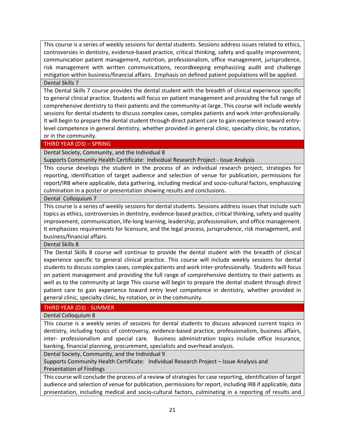This course is a series of weekly sessions for dental students. Sessions address issues related to ethics, controversies in dentistry, evidence-based practice, critical thinking, safety and quality improvement, communication patient management, nutrition, professionalism, office management, jurisprudence, risk management with written communications, recordkeeping emphasizing audit and challenge mitigation within business/financial affairs. Emphasis on defined patient populations will be applied. Dental Skills 7

The Dental Skills 7 course provides the dental student with the breadth of clinical experience specific to general clinical practice. Students will focus on patient management and providing the full range of comprehensive dentistry to their patients and the community-at-large. This course will include weekly sessions for dental students to discuss complex cases, complex patients and work inter-professionally. It will begin to prepare the dental student through direct patient care to gain experience toward entrylevel competence in general dentistry, whether provided in general clinic, specialty clinic, by rotation, or in the community.

### THIRD YEAR (D3) – SPRING

Dental Society, Community, and the Individual 8

Supports Community Health Certificate: Individual Research Project - Issue Analysis

This course develops the student in the process of an individual research project, strategies for reporting, identification of target audience and selection of venue for publication, permissions for report/IRB where applicable, data gathering, including medical and socio-cultural factors, emphasizing culmination in a poster or presentation showing results and conclusions.

Dental Colloquium 7

This course is a series of weekly sessions for dental students. Sessions address issues that include such topics as ethics, controversies in dentistry, evidence-based practice, critical thinking, safety and quality improvement, communication, life-long learning, leadership, professionalism, and office management. It emphasizes requirements for licensure, and the legal process, jurisprudence, risk management, and business/financial affairs.

Dental Skills 8

The Dental Skills 8 course will continue to provide the dental student with the breadth of clinical experience specific to general clinical practice. This course will include weekly sessions for dental students to discuss complex cases, complex patients and work inter-professionally. Students will focus on patient management and providing the full range of comprehensive dentistry to their patients as well as to the community at large This course will begin to prepare the dental student through direct patient care to gain experience toward entry level competence in dentistry, whether provided in general clinic, specialty clinic, by rotation, or in the community.

### THIRD YEAR (D3) - SUMMER

Dental Colloquium 8

This course is a weekly series of sessions for dental students to discuss advanced current topics in dentistry, including topics of controversy, evidence-based practice, professionalism, business affairs, inter- professionalism and special care. Business administration topics include office insurance, banking, financial planning, procurement, specialists and overhead analysis.

Dental Society, Community, and the Individual 9

Supports Community Health Certificate: Individual Research Project – Issue Analysis and Presentation of Findings

This course will conclude the process of a review of strategies for case reporting, identification of target audience and selection of venue for publication, permissions for report, including IRB if applicable, data presentation, including medical and socio-cultural factors, culminating in a reporting of results and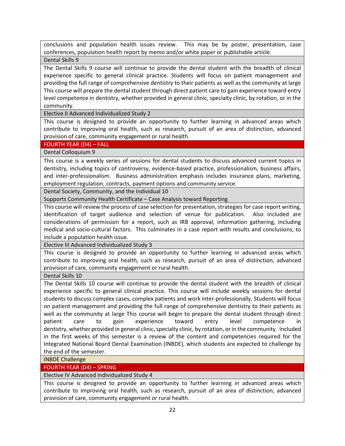conclusions and population health issues review. This may be by poster, presentation, case conferences, population health report by memo and/or white paper or publishable article.

Dental Skills 9

The Dental Skills 9 course will continue to provide the dental student with the breadth of clinical experience specific to general clinical practice. Students will focus on patient management and providing the full range of comprehensive dentistry to their patients as well as the community at large This course will prepare the dental student through direct patient care to gain experience toward entry level competence in dentistry, whether provided in general clinic, specialty clinic, by rotation, or in the community.

Elective II Advanced Individualized Study 2

This course is designed to provide an opportunity to further learning in advanced areas which contribute to improving oral health, such as research, pursuit of an area of distinction, advanced provision of care, community engagement or rural health.

FOURTH YEAR (D4) – FALL

Dental Colloquium 9

This course is a weekly series of sessions for dental students to discuss advanced current topics in dentistry, including topics of controversy, evidence-based practice, professionalism, business affairs, and inter-professionalism. Business administration emphasis includes insurance plans, marketing, employment regulation, contracts, payment options and community service.

Dental Society, Community, and the Individual 10

Supports Community Health Certificate – Case Analysis toward Reporting

This course will review the process of case selection for presentation, strategies for case report writing, identification of target audience and selection of venue for publication. Also included are considerations of permission for a report, such as IRB approval, information gathering, including medical and socio-cultural factors. This culminates in a case report with results and conclusions, to include a population health issue.

Elective III Advanced Individualized Study 3

This course is designed to provide an opportunity to further learning in advanced areas which contribute to improving oral health, such as research, pursuit of an area of distinction, advanced provision of care, community engagement or rural health.

Dental Skills 10

The Dental Skills 10 course will continue to provide the dental student with the breadth of clinical experience specific to general clinical practice. This course will include weekly sessions for dental students to discuss complex cases, complex patients and work inter-professionally. Students will focus on patient management and providing the full range of comprehensive dentistry to their patients as well as the community at large This course will begin to prepare the dental student through direct patient care to gain experience toward entry level competence in dentistry, whether provided in general clinic, specialty clinic, by rotation, or in the community. Included in the first weeks of this semester is a review of the content and competencies required for the Integrated National Board Dental Examination (INBDE), which students are expected to challenge by the end of the semester.

INBDE Challenge

FOURTH YEAR (D4) – SPRING

Elective IV Advanced Individualized Study 4

This course is designed to provide an opportunity to further learning in advanced areas which contribute to improving oral health, such as research, pursuit of an area of distinction, advanced provision of care, community engagement or rural health.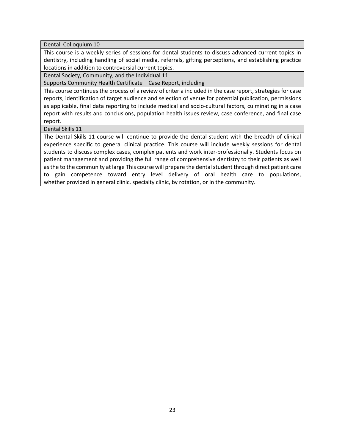Dental Colloquium 10

This course is a weekly series of sessions for dental students to discuss advanced current topics in dentistry, including handling of social media, referrals, gifting perceptions, and establishing practice locations in addition to controversial current topics.

Dental Society, Community, and the Individual 11

Supports Community Health Certificate – Case Report, including

This course continues the process of a review of criteria included in the case report, strategies for case reports, identification of target audience and selection of venue for potential publication, permissions as applicable, final data reporting to include medical and socio-cultural factors, culminating in a case report with results and conclusions, population health issues review, case conference, and final case report.

Dental Skills 11

The Dental Skills 11 course will continue to provide the dental student with the breadth of clinical experience specific to general clinical practice. This course will include weekly sessions for dental students to discuss complex cases, complex patients and work inter-professionally. Students focus on patient management and providing the full range of comprehensive dentistry to their patients as well as the to the community at large This course will prepare the dental student through direct patient care to gain competence toward entry level delivery of oral health care to populations, whether provided in general clinic, specialty clinic, by rotation, or in the community.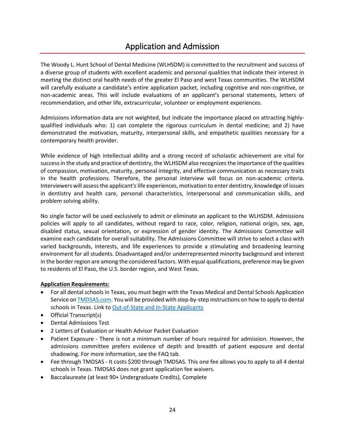### Application and Admission

<span id="page-23-0"></span>The Woody L. Hunt School of Dental Medicine (WLHSDM) is committed to the recruitment and success of a diverse group of students with excellent academic and personal qualities that indicate their interest in meeting the distinct oral health needs of the greater El Paso and west Texas communities. The WLHSDM will carefully evaluate a candidate's entire application packet, including cognitive and non-cognitive, or non-academic areas. This will include evaluations of an applicant's personal statements, letters of recommendation, and other life, extracurricular, volunteer or employment experiences.

Admissions information data are not weighted, but indicate the importance placed on attracting highlyqualified individuals who: 1) can complete the rigorous curriculum in dental medicine; and 2) have demonstrated the motivation, maturity, interpersonal skills, and empathetic qualities necessary for a contemporary health provider.

While evidence of high intellectual ability and a strong record of scholastic achievement are vital for success in the study and practice of dentistry, the WLHSDM also recognizes the importance of the qualities of compassion, motivation, maturity, personal integrity, and effective communication as necessary traits in the health professions. Therefore, the personal interview will focus on non-academic criteria. Interviewers will assess the applicant's life experiences, motivation to enter dentistry, knowledge of issues in dentistry and health care, personal characteristics, interpersonal and communication skills, and problem solving ability.

No single factor will be used exclusively to admit or eliminate an applicant to the WLHSDM. Admissions policies will apply to all candidates, without regard to race, color, religion, national origin, sex, age, disabled status, sexual orientation, or expression of gender identity. The Admissions Committee will examine each candidate for overall suitability. The Admissions Committee will strive to select a class with varied backgrounds, interests, and life experiences to provide a stimulating and broadening learning environment for all students. Disadvantaged and/or underrepresented minority background and interest in the border region are among the considered factors. With equal qualifications, preference may be given to residents of El Paso, the U.S. border region, and West Texas.

### **Application Requirements:**

- For all dental schools in Texas, you must begin with the Texas Medical and Dental Schools Application Service o[n TMDSAS.com.](https://www.tmdsas.com/) You will be provided with step-by-step instructions on how to apply to dental schools in Texas. Link to [Out-of-State and In-State Applicants](https://www.tmdsas.com/)
- Official Transcript(s)
- Dental Admissions Test
- 2 Letters of Evaluation or Health Advisor Packet Evaluation
- Patient Exposure There is not a minimum number of hours required for admission. However, the admissions committee prefers evidence of depth and breadth of patient exposure and dental shadowing. For more information, see the FAQ tab.
- Fee through TMDSAS It costs \$200 through TMDSAS. This one fee allows you to apply to all 4 dental schools in Texas. TMDSAS does not grant application fee waivers.
- Baccalaureate (at least 90+ Undergraduate Credits), Complete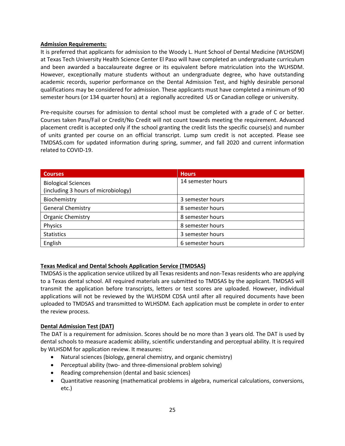### **Admission Requirements:**

It is preferred that applicants for admission to the Woody L. Hunt School of Dental Medicine (WLHSDM) at Texas Tech University Health Science Center El Paso will have completed an undergraduate curriculum and been awarded a baccalaureate degree or its equivalent before matriculation into the WLHSDM. However, exceptionally mature students without an undergraduate degree, who have outstanding academic records, superior performance on the Dental Admission Test, and highly desirable personal qualifications may be considered for admission. These applicants must have completed a minimum of 90 semester hours (or 134 quarter hours) at a  regionally accredited  US or Canadian college or university.

Pre-requisite courses for admission to dental school must be completed with a grade of C or better. Courses taken Pass/Fail or Credit/No Credit will not count towards meeting the requirement. Advanced placement credit is accepted only if the school granting the credit lists the specific course(s) and number of units granted per course on an official transcript. Lump sum credit is not accepted. Please see TMDSAS.com for updated information during spring, summer, and fall 2020 and current information related to COVID-19.

| <b>Courses</b>                                                    | <b>Hours</b>      |
|-------------------------------------------------------------------|-------------------|
| <b>Biological Sciences</b><br>(including 3 hours of microbiology) | 14 semester hours |
| Biochemistry                                                      | 3 semester hours  |
| <b>General Chemistry</b>                                          | 8 semester hours  |
| <b>Organic Chemistry</b>                                          | 8 semester hours  |
| Physics                                                           | 8 semester hours  |
| <b>Statistics</b>                                                 | 3 semester hours  |
| English                                                           | 6 semester hours  |

### **Texas Medical and Dental Schools Application Service (TMDSAS)**

TMDSAS is the application service utilized by all Texas residents and non-Texas residents who are applying to a Texas dental school. All required materials are submitted to TMDSAS by the applicant. TMDSAS will transmit the application before transcripts, letters or test scores are uploaded. However, individual applications will not be reviewed by the WLHSDM CDSA until after all required documents have been uploaded to TMDSAS and transmitted to WLHSDM. Each application must be complete in order to enter the review process.

### **Dental Admission Test (DAT)**

The DAT is a requirement for admission. Scores should be no more than 3 years old. The DAT is used by dental schools to measure academic ability, scientific understanding and perceptual ability. It is required by WLHSDM for application review. It measures:

- Natural sciences (biology, general chemistry, and organic chemistry)
- Perceptual ability (two- and three-dimensional problem solving)
- Reading comprehension (dental and basic sciences)
- Quantitative reasoning (mathematical problems in algebra, numerical calculations, conversions, etc.)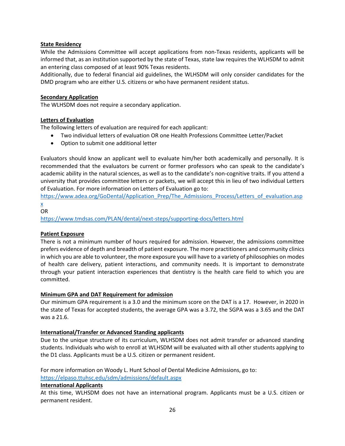### **State Residency**

While the Admissions Committee will accept applications from non-Texas residents, applicants will be informed that, as an institution supported by the state of Texas, state law requires the WLHSDM to admit an entering class composed of at least 90% Texas residents.

Additionally, due to federal financial aid guidelines, the WLHSDM will only consider candidates for the DMD program who are either U.S. citizens or who have permanent resident status.

### **Secondary Application**

The WLHSDM does not require a secondary application.

### **Letters of Evaluation**

The following letters of evaluation are required for each applicant:

- Two individual letters of evaluation OR one Health Professions Committee Letter/Packet
- Option to submit one additional letter

Evaluators should know an applicant well to evaluate him/her both academically and personally. It is recommended that the evaluators be current or former professors who can speak to the candidate's academic ability in the natural sciences, as well as to the candidate's non-cognitive traits. If you attend a university that provides committee letters or packets, we will accept this in lieu of two individual Letters of Evaluation. For more information on Letters of Evaluation go to:

[https://www.adea.org/GoDental/Application\\_Prep/The\\_Admissions\\_Process/Letters\\_of\\_evaluation.asp](https://www.adea.org/GoDental/Application_Prep/The_Admissions_Process/Letters_of_evaluation.aspx)

[x](https://www.adea.org/GoDental/Application_Prep/The_Admissions_Process/Letters_of_evaluation.aspx) OR

<https://www.tmdsas.com/PLAN/dental/next-steps/supporting-docs/letters.html>

### **Patient Exposure**

There is not a minimum number of hours required for admission. However, the admissions committee prefers evidence of depth and breadth of patient exposure. The more practitioners and community clinics in which you are able to volunteer, the more exposure you will have to a variety of philosophies on modes of health care delivery, patient interactions, and community needs. It is important to demonstrate through your patient interaction experiences that dentistry is the health care field to which you are committed.

### **Minimum GPA and DAT Requirement for admission**

Our minimum GPA requirement is a 3.0 and the minimum score on the DAT is a 17. However, in 2020 in the state of Texas for accepted students, the average GPA was a 3.72, the SGPA was a 3.65 and the DAT was a 21.6.

### **International/Transfer or Advanced Standing applicants**

Due to the unique structure of its curriculum, WLHSDM does not admit transfer or advanced standing students. Individuals who wish to enroll at WLHSDM will be evaluated with all other students applying to the D1 class. Applicants must be a U.S. citizen or permanent resident.

For more information on Woody L. Hunt School of Dental Medicine Admissions, go to: <https://elpaso.ttuhsc.edu/sdm/admissions/default.aspx>

### **International Applicants**

At this time, WLHSDM does not have an international program. Applicants must be a U.S. citizen or permanent resident.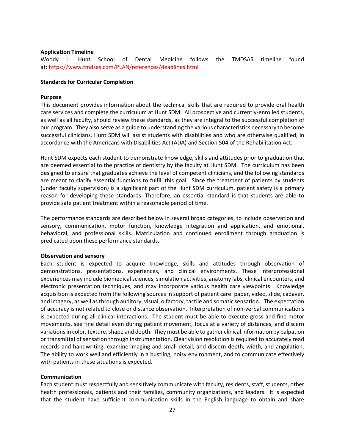### **Application Timeline**

Woody L. Hunt School of Dental Medicine follows the TMDSAS timeline found at: <https://www.tmdsas.com/PLAN/references/deadlines.html>

### **Standards for Curricular Completion**

### **Purpose**

This document provides information about the technical skills that are required to provide oral health care services and complete the curriculum at Hunt SDM. All prospective and currently-enrolled students, as well as all faculty, should review these standards, as they are integral to the successful completion of our program. They also serve as a guide to understanding the various characteristics necessary to become successful clinicians. Hunt SDM will assist students with disabilities and who are otherwise qualified, in accordance with the Americans with Disabilities Act (ADA) and Section 504 of the Rehabilitation Act.

Hunt SDM expects each student to demonstrate knowledge, skills and attitudes prior to graduation that are deemed essential to the practice of dentistry by the faculty at Hunt SDM. The curriculum has been designed to ensure that graduates achieve the level of competent clinicians, and the following standards are meant to clarify essential functions to fulfill this goal. Since the treatment of patients by students (under faculty supervision) is a significant part of the Hunt SDM curriculum, patient safety is a primary reason for developing these standards. Therefore, an essential standard is that students are able to provide safe patient treatment within a reasonable period of time.

The performance standards are described below in several broad categories, to include observation and sensory, communication, motor function, knowledge integration and application, and emotional, behavioral, and professional skills. Matriculation and continued enrollment through graduation is predicated upon these performance standards.

### **Observation and sensory**

Each student is expected to acquire knowledge, skills and attitudes through observation of demonstrations, presentations, experiences, and clinical environments. These interprofessional experiences may include biomedical sciences, simulation activities, anatomy labs, clinical encounters, and electronic presentation techniques, and may incorporate various health care viewpoints. Knowledge acquisition is expected from the following sources in support of patient care: paper, video, slide, cadaver, and imagery, as well as through auditory, visual, olfactory, tactile and somatic sensation. The expectation of accuracy is not related to close or distance observation. Interpretation of non-verbal communications is expected during all clinical interactions. The student must be able to execute gross and fine motor movements, see fine detail even during patient movement, focus at a variety of distances, and discern variations in color, texture, shape and depth. They must be able to gather clinical information by palpation or transmittal of sensation through instrumentation. Clear vision resolution is required to accurately read records and handwriting, examine imaging and small detail, and discern depth, width, and angulation. The ability to work well and efficiently in a bustling, noisy environment, and to communicate effectively with patients in these situations is expected.

### **Communication**

Each student must respectfully and sensitively communicate with faculty, residents, staff, students, other health professionals, patients and their families, community organizations, and leaders. It is expected that the student have sufficient communication skills in the English language to obtain and share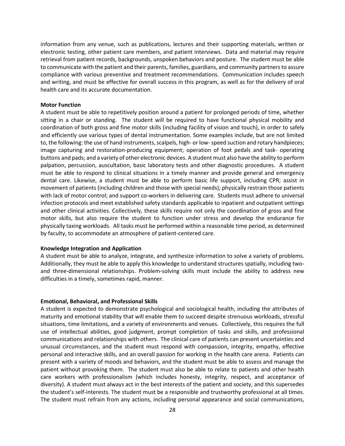information from any venue, such as publications, lectures and their supporting materials, written or electronic testing, other patient care members, and patient interviews. Data and material may require retrieval from patient records, backgrounds, unspoken behaviors and posture. The student must be able to communicate with the patient and their parents, families, guardians, and community partners to assure compliance with various preventive and treatment recommendations. Communication includes speech and writing, and must be effective for overall success in this program, as well as for the delivery of oral health care and its accurate documentation.

#### **Motor Function**

A student must be able to repetitively position around a patient for prolonged periods of time, whether sitting in a chair or standing. The student will be required to have functional physical mobility and coordination of both gross and fine motor skills (including facility of vision and touch), in order to safely and efficiently use various types of dental instrumentation. Some examples include, but are not limited to, the following: the use of hand instruments, scalpels, high- or low-speed suction and rotary handpieces; image capturing and restoration-producing equipment; operation of foot pedals and task- operating buttons and pads; and a variety of other electronic devices. A student must also have the ability to perform palpation, percussion, auscultation, basic laboratory tests and other diagnostic procedures. A student must be able to respond to clinical situations in a timely manner and provide general and emergency dental care. Likewise, a student must be able to perform basic life support, including CPR; assist in movement of patients (including children and those with special needs); physically restrain those patients with lack of motor control; and support co-workers in delivering care. Students must adhere to universal infection protocols and meet established safety standards applicable to inpatient and outpatient settings and other clinical activities. Collectively, these skills require not only the coordination of gross and fine motor skills, but also require the student to function under stress and develop the endurance for physically taxing workloads. All tasks must be performed within a reasonable time period, as determined by faculty, to accommodate an atmosphere of patient-centered care.

#### **Knowledge Integration and Application**

A student must be able to analyze, integrate, and synthesize information to solve a variety of problems. Additionally, they must be able to apply this knowledge to understand structures spatially, including twoand three-dimensional relationships. Problem-solving skills must include the ability to address new difficulties in a timely, sometimes rapid, manner.

#### **Emotional, Behavioral, and Professional Skills**

A student is expected to demonstrate psychological and sociological health, including the attributes of maturity and emotional stability that will enable them to succeed despite strenuous workloads, stressful situations, time limitations, and a variety of environments and venues. Collectively, this requires the full use of intellectual abilities, good judgment, prompt completion of tasks and skills, and professional communications and relationships with others. The clinical care of patients can present uncertainties and unusual circumstances, and the student must respond with compassion, integrity, empathy, effective personal and interactive skills, and an overall passion for working in the health care arena. Patients can present with a variety of moods and behaviors, and the student must be able to assess and manage the patient without provoking them. The student must also be able to relate to patients and other health care workers with professionalism (which includes honesty, integrity, respect, and acceptance of diversity). A student must always act in the best interests of the patient and society, and this supersedes the student's self-interests. The student must be a responsible and trustworthy professional at all times. The student must refrain from any actions, including personal appearance and social communications,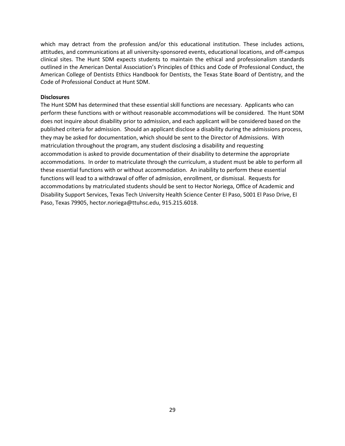which may detract from the profession and/or this educational institution. These includes actions, attitudes, and communications at all university-sponsored events, educational locations, and off-campus clinical sites. The Hunt SDM expects students to maintain the ethical and professionalism standards outlined in the American Dental Association's Principles of Ethics and Code of Professional Conduct, the American College of Dentists Ethics Handbook for Dentists, the Texas State Board of Dentistry, and the Code of Professional Conduct at Hunt SDM.

### **Disclosures**

The Hunt SDM has determined that these essential skill functions are necessary. Applicants who can perform these functions with or without reasonable accommodations will be considered. The Hunt SDM does not inquire about disability prior to admission, and each applicant will be considered based on the published criteria for admission. Should an applicant disclose a disability during the admissions process, they may be asked for documentation, which should be sent to the Director of Admissions. With matriculation throughout the program, any student disclosing a disability and requesting accommodation is asked to provide documentation of their disability to determine the appropriate accommodations. In order to matriculate through the curriculum, a student must be able to perform all these essential functions with or without accommodation. An inability to perform these essential functions will lead to a withdrawal of offer of admission, enrollment, or dismissal. Requests for accommodations by matriculated students should be sent to Hector Noriega, Office of Academic and Disability Support Services, Texas Tech University Health Science Center El Paso, 5001 El Paso Drive, El Paso, Texas 79905, hector.noriega@ttuhsc.edu, 915.215.6018.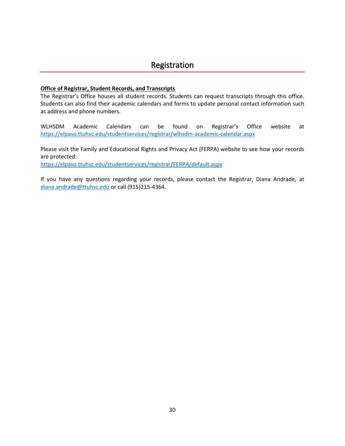### <span id="page-29-0"></span>**Office of Registrar, Student Records, and Transcripts**

The Registrar's Office houses all student records. Students can request transcripts through this office. Students can also find their academic calendars and forms to update personal contact information such as address and phone numbers.

WLHSDM Academic Calendars can be found on Registrar's Office website at <https://elpaso.ttuhsc.edu/studentservices/registrar/wlhsdm-academic-calendar.aspx>

Please visit the Family and Educational Rights and Privacy Act (FERPA) website to see how your records are protected: <https://elpaso.ttuhsc.edu/studentservices/registrar/FERPA/default.aspx>

If you have any questions regarding your records, please contact the Registrar, Diana Andrade, at [diana.andrade@ttuhsc.edu](mailto:diana.andrade@ttuhsc.edu) or call (915)215-4364.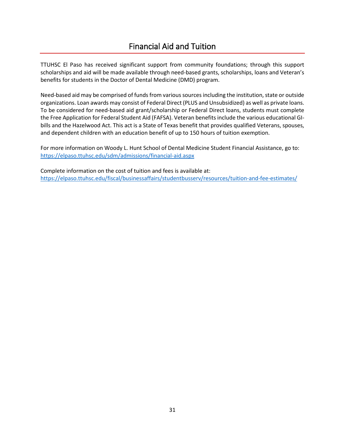### Financial Aid and Tuition

<span id="page-30-0"></span>TTUHSC El Paso has received significant support from community foundations; through this support scholarships and aid will be made available through need-based grants, scholarships, loans and Veteran's benefits for students in the Doctor of Dental Medicine (DMD) program.

Need-based aid may be comprised of funds from various sources including the institution, state or outside organizations. Loan awards may consist of Federal Direct (PLUS and Unsubsidized) as well as private loans. To be considered for need-based aid grant/scholarship or Federal Direct loans, students must complete the Free Application for Federal Student Aid (FAFSA). Veteran benefits include the various educational GIbills and the Hazelwood Act. This act is a State of Texas benefit that provides qualified Veterans, spouses, and dependent children with an education benefit of up to 150 hours of tuition exemption.

For more information on Woody L. Hunt School of Dental Medicine Student Financial Assistance, go to: <https://elpaso.ttuhsc.edu/sdm/admissions/financial-aid.aspx>

Complete information on the cost of tuition and fees is available at: <https://elpaso.ttuhsc.edu/fiscal/businessaffairs/studentbusserv/resources/tuition-and-fee-estimates/>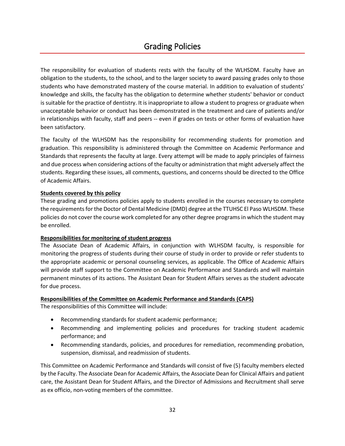### Grading Policies

<span id="page-31-0"></span>The responsibility for evaluation of students rests with the faculty of the WLHSDM. Faculty have an obligation to the students, to the school, and to the larger society to award passing grades only to those students who have demonstrated mastery of the course material. In addition to evaluation of students' knowledge and skills, the faculty has the obligation to determine whether students' behavior or conduct is suitable for the practice of dentistry. It is inappropriate to allow a student to progress or graduate when unacceptable behavior or conduct has been demonstrated in the treatment and care of patients and/or in relationships with faculty, staff and peers -- even if grades on tests or other forms of evaluation have been satisfactory.

The faculty of the WLHSDM has the responsibility for recommending students for promotion and graduation. This responsibility is administered through the Committee on Academic Performance and Standards that represents the faculty at large. Every attempt will be made to apply principles of fairness and due process when considering actions of the faculty or administration that might adversely affect the students. Regarding these issues, all comments, questions, and concerns should be directed to the Office of Academic Affairs.

### **Students covered by this policy**

These grading and promotions policies apply to students enrolled in the courses necessary to complete the requirements for the Doctor of Dental Medicine (DMD) degree at the TTUHSC El Paso WLHSDM. These policies do not cover the course work completed for any other degree programs in which the student may be enrolled.

### **Responsibilities for monitoring of student progress**

The Associate Dean of Academic Affairs, in conjunction with WLHSDM faculty, is responsible for monitoring the progress of students during their course of study in order to provide or refer students to the appropriate academic or personal counseling services, as applicable. The Office of Academic Affairs will provide staff support to the Committee on Academic Performance and Standards and will maintain permanent minutes of its actions. The Assistant Dean for Student Affairs serves as the student advocate for due process.

### **Responsibilities of the Committee on Academic Performance and Standards (CAPS)**

The responsibilities of this Committee will include:

- Recommending standards for student academic performance;
- Recommending and implementing policies and procedures for tracking student academic performance; and
- Recommending standards, policies, and procedures for remediation, recommending probation, suspension, dismissal, and readmission of students.

This Committee on Academic Performance and Standards will consist of five (5) faculty members elected by the Faculty. The Associate Dean for Academic Affairs, the Associate Dean for Clinical Affairs and patient care, the Assistant Dean for Student Affairs, and the Director of Admissions and Recruitment shall serve as ex officio, non-voting members of the committee.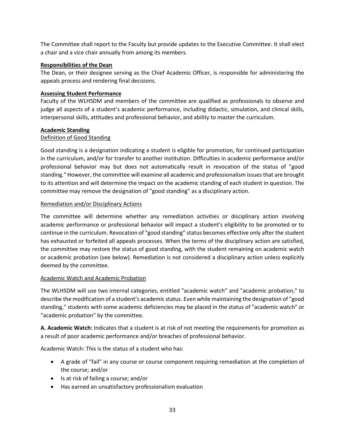The Committee shall report to the Faculty but provide updates to the Executive Committee. It shall elect a chair and a vice chair annually from among its members.

### **Responsibilities of the Dean**

The Dean, or their designee serving as the Chief Academic Officer, is responsible for administering the appeals process and rendering final decisions.

### **Assessing Student Performance**

Faculty of the WLHSDM and members of the committee are qualified as professionals to observe and judge all aspects of a student's academic performance, including didactic, simulation, and clinical skills, interpersonal skills, attitudes and professional behavior, and ability to master the curriculum.

### **Academic Standing**

### Definition of Good Standing

Good standing is a designation indicating a student is eligible for promotion, for continued participation in the curriculum, and/or for transfer to another institution. Difficulties in academic performance and/or professional behavior may but does not automatically result in revocation of the status of "good standing." However, the committee will examine all academic and professionalism issues that are brought to its attention and will determine the impact on the academic standing of each student in question. The committee may remove the designation of "good standing" as a disciplinary action.

### Remediation and/or Disciplinary Actions

The committee will determine whether any remediation activities or disciplinary action involving academic performance or professional behavior will impact a student's eligibility to be promoted or to continue in the curriculum. Revocation of "good standing" status becomes effective only after the student has exhausted or forfeited all appeals processes. When the terms of the disciplinary action are satisfied, the committee may restore the status of good standing, with the student remaining on academic watch or academic probation (see below). Remediation is not considered a disciplinary action unless explicitly deemed by the committee.

### Academic Watch and Academic Probation

The WLHSDM will use two internal categories, entitled "academic watch" and "academic probation," to describe the modification of a student's academic status. Even while maintaining the designation of "good standing," students with some academic deficiencies may be placed in the status of "academic watch" or "academic probation" by the committee.

**A. Academic Watch:** Indicates that a student is at risk of not meeting the requirements for promotion as a result of poor academic performance and/or breaches of professional behavior.

Academic Watch: This is the status of a student who has:

- A grade of "fail" in any course or course component requiring remediation at the completion of the course; and/or
- Is at risk of failing a course; and/or
- Has earned an unsatisfactory professionalism evaluation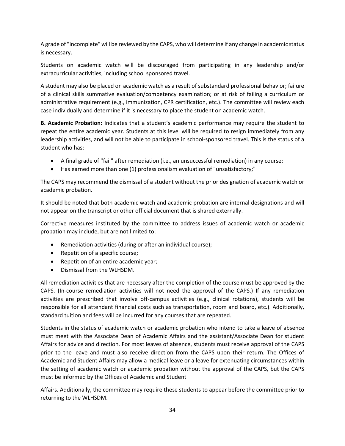A grade of "incomplete" will be reviewed by the CAPS, who will determine if any change in academic status is necessary.

Students on academic watch will be discouraged from participating in any leadership and/or extracurricular activities, including school sponsored travel.

A student may also be placed on academic watch as a result of substandard professional behavior; failure of a clinical skills summative evaluation/competency examination; or at risk of failing a curriculum or administrative requirement (e.g., immunization, CPR certification, etc.). The committee will review each case individually and determine if it is necessary to place the student on academic watch.

**B. Academic Probation:** Indicates that a student's academic performance may require the student to repeat the entire academic year. Students at this level will be required to resign immediately from any leadership activities, and will not be able to participate in school-sponsored travel. This is the status of a student who has:

- A final grade of "fail" after remediation (i.e., an unsuccessful remediation) in any course;
- Has earned more than one (1) professionalism evaluation of "unsatisfactory;"

The CAPS may recommend the dismissal of a student without the prior designation of academic watch or academic probation.

It should be noted that both academic watch and academic probation are internal designations and will not appear on the transcript or other official document that is shared externally.

Corrective measures instituted by the committee to address issues of academic watch or academic probation may include, but are not limited to:

- Remediation activities (during or after an individual course);
- Repetition of a specific course;
- Repetition of an entire academic year;
- Dismissal from the WLHSDM.

All remediation activities that are necessary after the completion of the course must be approved by the CAPS. (In-course remediation activities will not need the approval of the CAPS.) If any remediation activities are prescribed that involve off-campus activities (e.g., clinical rotations), students will be responsible for all attendant financial costs such as transportation, room and board, etc.). Additionally, standard tuition and fees will be incurred for any courses that are repeated.

Students in the status of academic watch or academic probation who intend to take a leave of absence must meet with the Associate Dean of Academic Affairs and the assistant/Associate Dean for student Affairs for advice and direction. For most leaves of absence, students must receive approval of the CAPS prior to the leave and must also receive direction from the CAPS upon their return. The Offices of Academic and Student Affairs may allow a medical leave or a leave for extenuating circumstances within the setting of academic watch or academic probation without the approval of the CAPS, but the CAPS must be informed by the Offices of Academic and Student

Affairs. Additionally, the committee may require these students to appear before the committee prior to returning to the WLHSDM.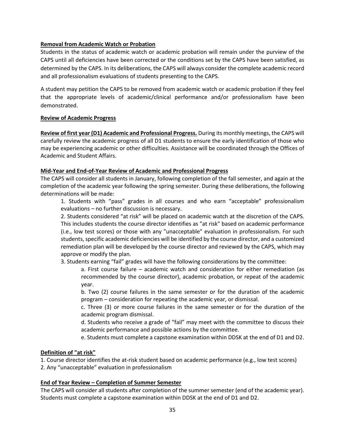### **Removal from Academic Watch or Probation**

Students in the status of academic watch or academic probation will remain under the purview of the CAPS until all deficiencies have been corrected or the conditions set by the CAPS have been satisfied, as determined by the CAPS. In its deliberations, the CAPS will always consider the complete academic record and all professionalism evaluations of students presenting to the CAPS.

A student may petition the CAPS to be removed from academic watch or academic probation if they feel that the appropriate levels of academic/clinical performance and/or professionalism have been demonstrated.

### **Review of Academic Progress**

**Review of first year (D1) Academic and Professional Progress.** During its monthly meetings, the CAPS will carefully review the academic progress of all D1 students to ensure the early identification of those who may be experiencing academic or other difficulties. Assistance will be coordinated through the Offices of Academic and Student Affairs.

### **Mid-Year and End-of-Year Review of Academic and Professional Progress**

The CAPS will consider all students in January, following completion of the fall semester, and again at the completion of the academic year following the spring semester. During these deliberations, the following determinations will be made:

1. Students with "pass" grades in all courses and who earn "acceptable" professionalism evaluations – no further discussion is necessary.

2. Students considered "at risk" will be placed on academic watch at the discretion of the CAPS. This includes students the course director identifies as "at risk" based on academic performance (i.e., low test scores) or those with any "unacceptable" evaluation in professionalism. For such students, specific academic deficiencies will be identified by the course director, and a customized remediation plan will be developed by the course director and reviewed by the CAPS, which may approve or modify the plan.

3. Students earning "fail" grades will have the following considerations by the committee:

a. First course failure – academic watch and consideration for either remediation (as recommended by the course director), academic probation, or repeat of the academic year.

b. Two (2) course failures in the same semester or for the duration of the academic program – consideration for repeating the academic year, or dismissal.

c. Three (3) or more course failures in the same semester or for the duration of the academic program dismissal.

d. Students who receive a grade of "fail" may meet with the committee to discuss their academic performance and possible actions by the committee.

e. Students must complete a capstone examination within DDSK at the end of D1 and D2.

### **Definition of "at risk"**

1. Course director identifies the at-risk student based on academic performance (e.g., low test scores)

2. Any "unacceptable" evaluation in professionalism

### **End of Year Review – Completion of Summer Semester**

The CAPS will consider all students after completion of the summer semester (end of the academic year). Students must complete a capstone examination within DDSK at the end of D1 and D2.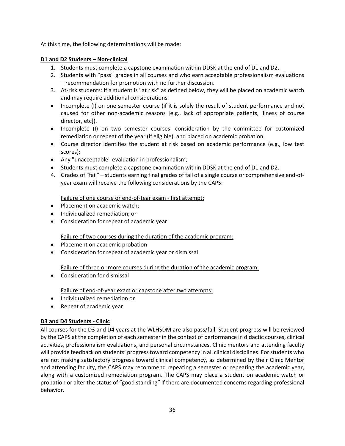At this time, the following determinations will be made:

### **D1 and D2 Students – Non-clinical**

- 1. Students must complete a capstone examination within DDSK at the end of D1 and D2.
- 2. Students with "pass" grades in all courses and who earn acceptable professionalism evaluations – recommendation for promotion with no further discussion.
- 3. At-risk students: If a student is "at risk" as defined below, they will be placed on academic watch and may require additional considerations.
- Incomplete (I) on one semester course (if it is solely the result of student performance and not caused for other non-academic reasons [e.g., lack of appropriate patients, illness of course director, etc]).
- Incomplete (I) on two semester courses: consideration by the committee for customized remediation or repeat of the year (if eligible), and placed on academic probation.
- Course director identifies the student at risk based on academic performance (e.g., low test scores);
- Any "unacceptable" evaluation in professionalism;
- Students must complete a capstone examination within DDSK at the end of D1 and D2.
- 4. Grades of "fail" students earning final grades of fail of a single course or comprehensive end-ofyear exam will receive the following considerations by the CAPS:

Failure of one course or end-of-tear exam - first attempt:

- Placement on academic watch;
- Individualized remediation; or
- Consideration for repeat of academic year

### Failure of two courses during the duration of the academic program:

- Placement on academic probation
- Consideration for repeat of academic year or dismissal

Failure of three or more courses during the duration of the academic program:

• Consideration for dismissal

Failure of end-of-year exam or capstone after two attempts:

- Individualized remediation or
- Repeat of academic year

### **D3 and D4 Students - Clinic**

All courses for the D3 and D4 years at the WLHSDM are also pass/fail. Student progress will be reviewed by the CAPS at the completion of each semester in the context of performance in didactic courses, clinical activities, professionalism evaluations, and personal circumstances. Clinic mentors and attending faculty will provide feedback on students' progress toward competency in all clinical disciplines. For students who are not making satisfactory progress toward clinical competency, as determined by their Clinic Mentor and attending faculty, the CAPS may recommend repeating a semester or repeating the academic year, along with a customized remediation program. The CAPS may place a student on academic watch or probation or alter the status of "good standing" if there are documented concerns regarding professional behavior.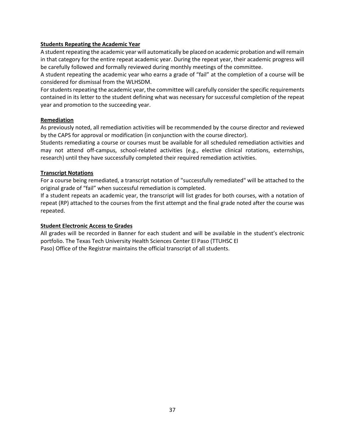### **Students Repeating the Academic Year**

A student repeating the academic year will automatically be placed on academic probation and will remain in that category for the entire repeat academic year. During the repeat year, their academic progress will be carefully followed and formally reviewed during monthly meetings of the committee.

A student repeating the academic year who earns a grade of "fail" at the completion of a course will be considered for dismissal from the WLHSDM.

For students repeating the academic year, the committee will carefully consider the specific requirements contained in its letter to the student defining what was necessary for successful completion of the repeat year and promotion to the succeeding year.

### **Remediation**

As previously noted, all remediation activities will be recommended by the course director and reviewed by the CAPS for approval or modification (in conjunction with the course director).

Students remediating a course or courses must be available for all scheduled remediation activities and may not attend off-campus, school-related activities (e.g., elective clinical rotations, externships, research) until they have successfully completed their required remediation activities.

### **Transcript Notations**

For a course being remediated, a transcript notation of "successfully remediated" will be attached to the original grade of "fail" when successful remediation is completed.

If a student repeats an academic year, the transcript will list grades for both courses, with a notation of repeat (RP) attached to the courses from the first attempt and the final grade noted after the course was repeated.

### **Student Electronic Access to Grades**

All grades will be recorded in Banner for each student and will be available in the student's electronic portfolio. The Texas Tech University Health Sciences Center El Paso (TTUHSC El Paso) Office of the Registrar maintains the official transcript of all students.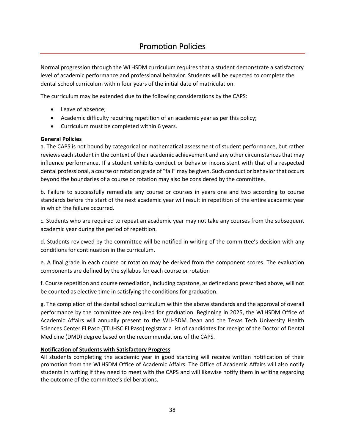### Promotion Policies

<span id="page-37-0"></span>Normal progression through the WLHSDM curriculum requires that a student demonstrate a satisfactory level of academic performance and professional behavior. Students will be expected to complete the dental school curriculum within four years of the initial date of matriculation.

The curriculum may be extended due to the following considerations by the CAPS:

- Leave of absence;
- Academic difficulty requiring repetition of an academic year as per this policy;
- Curriculum must be completed within 6 years.

### **General Policies**

a. The CAPS is not bound by categorical or mathematical assessment of student performance, but rather reviews each student in the context of their academic achievement and any other circumstances that may influence performance. If a student exhibits conduct or behavior inconsistent with that of a respected dental professional, a course or rotation grade of "fail" may be given. Such conduct or behavior that occurs beyond the boundaries of a course or rotation may also be considered by the committee.

b. Failure to successfully remediate any course or courses in years one and two according to course standards before the start of the next academic year will result in repetition of the entire academic year in which the failure occurred.

c. Students who are required to repeat an academic year may not take any courses from the subsequent academic year during the period of repetition.

d. Students reviewed by the committee will be notified in writing of the committee's decision with any conditions for continuation in the curriculum.

e. A final grade in each course or rotation may be derived from the component scores. The evaluation components are defined by the syllabus for each course or rotation

f. Course repetition and course remediation, including capstone, as defined and prescribed above, will not be counted as elective time in satisfying the conditions for graduation.

g. The completion of the dental school curriculum within the above standards and the approval of overall performance by the committee are required for graduation. Beginning in 2025, the WLHSDM Office of Academic Affairs will annually present to the WLHSDM Dean and the Texas Tech University Health Sciences Center El Paso (TTUHSC El Paso) registrar a list of candidates for receipt of the Doctor of Dental Medicine (DMD) degree based on the recommendations of the CAPS.

### **Notification of Students with Satisfactory Progress**

All students completing the academic year in good standing will receive written notification of their promotion from the WLHSDM Office of Academic Affairs. The Office of Academic Affairs will also notify students in writing if they need to meet with the CAPS and will likewise notify them in writing regarding the outcome of the committee's deliberations.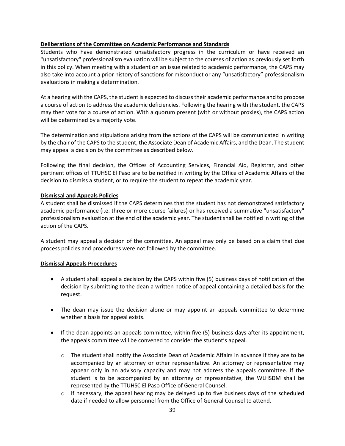### **Deliberations of the Committee on Academic Performance and Standards**

Students who have demonstrated unsatisfactory progress in the curriculum or have received an "unsatisfactory" professionalism evaluation will be subject to the courses of action as previously set forth in this policy. When meeting with a student on an issue related to academic performance, the CAPS may also take into account a prior history of sanctions for misconduct or any "unsatisfactory" professionalism evaluations in making a determination.

At a hearing with the CAPS, the student is expected to discuss their academic performance and to propose a course of action to address the academic deficiencies. Following the hearing with the student, the CAPS may then vote for a course of action. With a quorum present (with or without proxies), the CAPS action will be determined by a majority vote.

The determination and stipulations arising from the actions of the CAPS will be communicated in writing by the chair of the CAPS to the student, the Associate Dean of Academic Affairs, and the Dean. The student may appeal a decision by the committee as described below.

Following the final decision, the Offices of Accounting Services, Financial Aid, Registrar, and other pertinent offices of TTUHSC El Paso are to be notified in writing by the Office of Academic Affairs of the decision to dismiss a student, or to require the student to repeat the academic year.

### **Dismissal and Appeals Policies**

A student shall be dismissed if the CAPS determines that the student has not demonstrated satisfactory academic performance (i.e. three or more course failures) or has received a summative "unsatisfactory" professionalism evaluation at the end of the academic year. The student shall be notified in writing of the action of the CAPS.

A student may appeal a decision of the committee. An appeal may only be based on a claim that due process policies and procedures were not followed by the committee.

### **Dismissal Appeals Procedures**

- A student shall appeal a decision by the CAPS within five (5) business days of notification of the decision by submitting to the dean a written notice of appeal containing a detailed basis for the request.
- The dean may issue the decision alone or may appoint an appeals committee to determine whether a basis for appeal exists.
- If the dean appoints an appeals committee, within five (5) business days after its appointment, the appeals committee will be convened to consider the student's appeal.
	- $\circ$  The student shall notify the Associate Dean of Academic Affairs in advance if they are to be accompanied by an attorney or other representative. An attorney or representative may appear only in an advisory capacity and may not address the appeals committee. If the student is to be accompanied by an attorney or representative, the WLHSDM shall be represented by the TTUHSC El Paso Office of General Counsel.
	- $\circ$  If necessary, the appeal hearing may be delayed up to five business days of the scheduled date if needed to allow personnel from the Office of General Counsel to attend.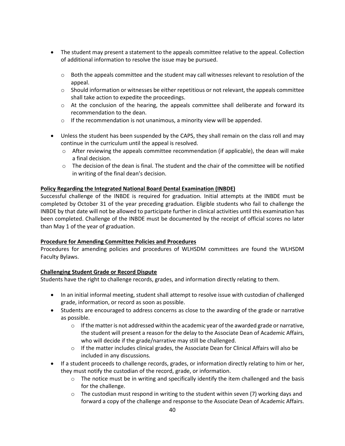- The student may present a statement to the appeals committee relative to the appeal. Collection of additional information to resolve the issue may be pursued.
	- $\circ$  Both the appeals committee and the student may call witnesses relevant to resolution of the appeal.
	- $\circ$  Should information or witnesses be either repetitious or not relevant, the appeals committee shall take action to expedite the proceedings.
	- o At the conclusion of the hearing, the appeals committee shall deliberate and forward its recommendation to the dean.
	- o If the recommendation is not unanimous, a minority view will be appended.
- Unless the student has been suspended by the CAPS, they shall remain on the class roll and may continue in the curriculum until the appeal is resolved.
	- $\circ$  After reviewing the appeals committee recommendation (if applicable), the dean will make a final decision.
	- $\circ$  The decision of the dean is final. The student and the chair of the committee will be notified in writing of the final dean's decision.

### **Policy Regarding the Integrated National Board Dental Examination (INBDE)**

Successful challenge of the INBDE is required for graduation. Initial attempts at the INBDE must be completed by October 31 of the year preceding graduation. Eligible students who fail to challenge the INBDE by that date will not be allowed to participate further in clinical activities until this examination has been completed. Challenge of the INBDE must be documented by the receipt of official scores no later than May 1 of the year of graduation.

### **Procedure for Amending Committee Policies and Procedures**

Procedures for amending policies and procedures of WLHSDM committees are found the WLHSDM Faculty Bylaws.

### **Challenging Student Grade or Record Dispute**

Students have the right to challenge records, grades, and information directly relating to them.

- In an initial informal meeting, student shall attempt to resolve issue with custodian of challenged grade, information, or record as soon as possible.
- Students are encouraged to address concerns as close to the awarding of the grade or narrative as possible.
	- $\circ$  If the matter is not addressed within the academic year of the awarded grade or narrative, the student will present a reason for the delay to the Associate Dean of Academic Affairs, who will decide if the grade/narrative may still be challenged.
	- $\circ$  If the matter includes clinical grades, the Associate Dean for Clinical Affairs will also be included in any discussions.
- If a student proceeds to challenge records, grades, or information directly relating to him or her, they must notify the custodian of the record, grade, or information.
	- $\circ$  The notice must be in writing and specifically identify the item challenged and the basis for the challenge.
	- $\circ$  The custodian must respond in writing to the student within seven (7) working days and forward a copy of the challenge and response to the Associate Dean of Academic Affairs.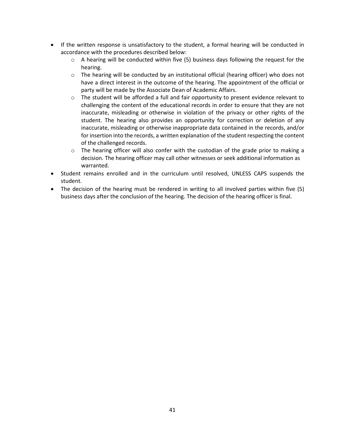- If the written response is unsatisfactory to the student, a formal hearing will be conducted in accordance with the procedures described below:
	- $\circ$  A hearing will be conducted within five (5) business days following the request for the hearing.
	- o The hearing will be conducted by an institutional official (hearing officer) who does not have a direct interest in the outcome of the hearing. The appointment of the official or party will be made by the Associate Dean of Academic Affairs.
	- $\circ$  The student will be afforded a full and fair opportunity to present evidence relevant to challenging the content of the educational records in order to ensure that they are not inaccurate, misleading or otherwise in violation of the privacy or other rights of the student. The hearing also provides an opportunity for correction or deletion of any inaccurate, misleading or otherwise inappropriate data contained in the records, and/or for insertion into the records, a written explanation of the student respecting the content of the challenged records.
	- $\circ$  The hearing officer will also confer with the custodian of the grade prior to making a decision. The hearing officer may call other witnesses or seek additional information as warranted.
- Student remains enrolled and in the curriculum until resolved, UNLESS CAPS suspends the student.
- The decision of the hearing must be rendered in writing to all involved parties within five (5) business days after the conclusion of the hearing. The decision of the hearing officer is final.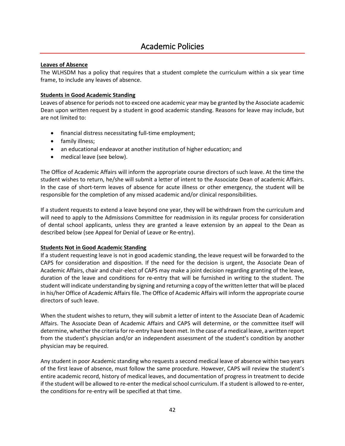### Academic Policies

### <span id="page-41-0"></span>**Leaves of Absence**

The WLHSDM has a policy that requires that a student complete the curriculum within a six year time frame, to include any leaves of absence.

### **Students in Good Academic Standing**

Leaves of absence for periods not to exceed one academic year may be granted by the Associate academic Dean upon written request by a student in good academic standing. Reasons for leave may include, but are not limited to:

- financial distress necessitating full-time employment;
- family illness;
- an educational endeavor at another institution of higher education; and
- medical leave (see below).

The Office of Academic Affairs will inform the appropriate course directors of such leave. At the time the student wishes to return, he/she will submit a letter of intent to the Associate Dean of academic Affairs. In the case of short-term leaves of absence for acute illness or other emergency, the student will be responsible for the completion of any missed academic and/or clinical responsibilities.

If a student requests to extend a leave beyond one year, they will be withdrawn from the curriculum and will need to apply to the Admissions Committee for readmission in its regular process for consideration of dental school applicants, unless they are granted a leave extension by an appeal to the Dean as described below (see Appeal for Denial of Leave or Re-entry).

### **Students Not in Good Academic Standing**

If a student requesting leave is not in good academic standing, the leave request will be forwarded to the CAPS for consideration and disposition. If the need for the decision is urgent, the Associate Dean of Academic Affairs, chair and chair-elect of CAPS may make a joint decision regarding granting of the leave, duration of the leave and conditions for re-entry that will be furnished in writing to the student. The student will indicate understanding by signing and returning a copy of the written letter that will be placed in his/her Office of Academic Affairs file. The Office of Academic Affairs will inform the appropriate course directors of such leave.

When the student wishes to return, they will submit a letter of intent to the Associate Dean of Academic Affairs. The Associate Dean of Academic Affairs and CAPS will determine, or the committee itself will determine, whether the criteria for re-entry have been met. In the case of a medical leave, a written report from the student's physician and/or an independent assessment of the student's condition by another physician may be required.

Any student in poor Academic standing who requests a second medical leave of absence within two years of the first leave of absence, must follow the same procedure. However, CAPS will review the student's entire academic record, history of medical leaves, and documentation of progress in treatment to decide if the student will be allowed to re-enter the medical school curriculum. If a student is allowed to re-enter, the conditions for re-entry will be specified at that time.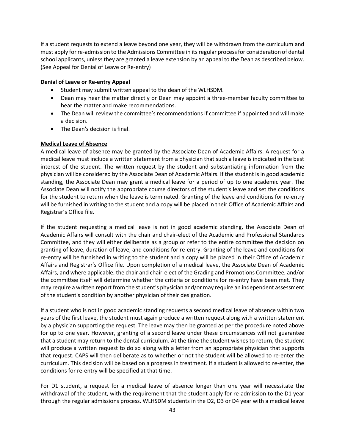If a student requests to extend a leave beyond one year, they will be withdrawn from the curriculum and must apply for re-admission to the Admissions Committee in its regular process for consideration of dental school applicants, unless they are granted a leave extension by an appeal to the Dean as described below. (See Appeal for Denial of Leave or Re-entry)

### **Denial of Leave or Re-entry Appeal**

- Student may submit written appeal to the dean of the WLHSDM.
- Dean may hear the matter directly or Dean may appoint a three-member faculty committee to hear the matter and make recommendations.
- The Dean will review the committee's recommendations if committee if appointed and will make a decision.
- The Dean's decision is final.

### **Medical Leave of Absence**

A medical leave of absence may be granted by the Associate Dean of Academic Affairs. A request for a medical leave must include a written statement from a physician that such a leave is indicated in the best interest of the student. The written request by the student and substantiating information from the physician will be considered by the Associate Dean of Academic Affairs. If the student is in good academic standing, the Associate Dean may grant a medical leave for a period of up to one academic year. The Associate Dean will notify the appropriate course directors of the student's leave and set the conditions for the student to return when the leave is terminated. Granting of the leave and conditions for re-entry will be furnished in writing to the student and a copy will be placed in their Office of Academic Affairs and Registrar's Office file.

If the student requesting a medical leave is not in good academic standing, the Associate Dean of Academic Affairs will consult with the chair and chair-elect of the Academic and Professional Standards Committee, and they will either deliberate as a group or refer to the entire committee the decision on granting of leave, duration of leave, and conditions for re-entry. Granting of the leave and conditions for re-entry will be furnished in writing to the student and a copy will be placed in their Office of Academic Affairs and Registrar's Office file. Upon completion of a medical leave, the Associate Dean of Academic Affairs, and where applicable, the chair and chair-elect of the Grading and Promotions Committee, and/or the committee itself will determine whether the criteria or conditions for re-entry have been met. They may require a written report from the student's physician and/or may require an independent assessment of the student's condition by another physician of their designation.

If a student who is not in good academic standing requests a second medical leave of absence within two years of the first leave, the student must again produce a written request along with a written statement by a physician supporting the request. The leave may then be granted as per the procedure noted above for up to one year. However, granting of a second leave under these circumstances will not guarantee that a student may return to the dental curriculum. At the time the student wishes to return, the student will produce a written request to do so along with a letter from an appropriate physician that supports that request. CAPS will then deliberate as to whether or not the student will be allowed to re-enter the curriculum. This decision will be based on a progress in treatment. If a student is allowed to re-enter, the conditions for re-entry will be specified at that time.

For D1 student, a request for a medical leave of absence longer than one year will necessitate the withdrawal of the student, with the requirement that the student apply for re-admission to the D1 year through the regular admissions process. WLHSDM students in the D2, D3 or D4 year with a medical leave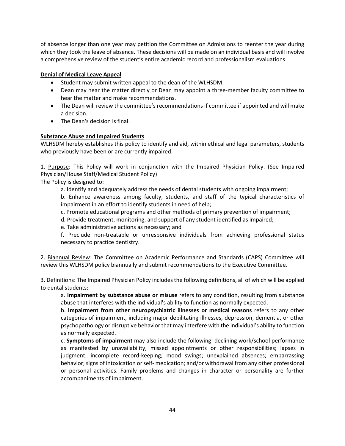of absence longer than one year may petition the Committee on Admissions to reenter the year during which they took the leave of absence. These decisions will be made on an individual basis and will involve a comprehensive review of the student's entire academic record and professionalism evaluations.

### **Denial of Medical Leave Appeal**

- Student may submit written appeal to the dean of the WLHSDM.
- Dean may hear the matter directly or Dean may appoint a three-member faculty committee to hear the matter and make recommendations.
- The Dean will review the committee's recommendations if committee if appointed and will make a decision.
- The Dean's decision is final.

### **Substance Abuse and Impaired Students**

WLHSDM hereby establishes this policy to identify and aid, within ethical and legal parameters, students who previously have been or are currently impaired.

1. Purpose: This Policy will work in conjunction with the Impaired Physician Policy. (See Impaired Physician/House Staff/Medical Student Policy)

The Policy is designed to:

a. Identify and adequately address the needs of dental students with ongoing impairment;

b. Enhance awareness among faculty, students, and staff of the typical characteristics of impairment in an effort to identify students in need of help;

c. Promote educational programs and other methods of primary prevention of impairment;

d. Provide treatment, monitoring, and support of any student identified as impaired;

e. Take administrative actions as necessary; and

f. Preclude non-treatable or unresponsive individuals from achieving professional status necessary to practice dentistry.

2. Biannual Review: The Committee on Academic Performance and Standards (CAPS) Committee will review this WLHSDM policy biannually and submit recommendations to the Executive Committee.

3. Definitions: The Impaired Physician Policy includes the following definitions, all of which will be applied to dental students:

a. **Impairment by substance abuse or misuse** refers to any condition, resulting from substance abuse that interferes with the individual's ability to function as normally expected.

b. **Impairment from other neuropsychiatric illnesses or medical reasons** refers to any other categories of impairment, including major debilitating illnesses, depression, dementia, or other psychopathology or disruptive behavior that may interfere with the individual's ability to function as normally expected.

c. **Symptoms of impairment** may also include the following: declining work/school performance as manifested by unavailability, missed appointments or other responsibilities; lapses in judgment; incomplete record-keeping; mood swings; unexplained absences; embarrassing behavior; signs of intoxication or self- medication; and/or withdrawal from any other professional or personal activities. Family problems and changes in character or personality are further accompaniments of impairment.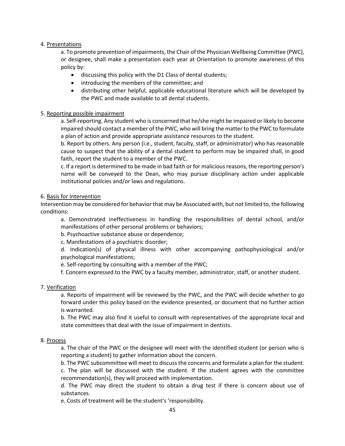### 4. Presentations

a. To promote prevention of impairments, the Chair of the Physician Wellbeing Committee (PWC), or designee, shall make a presentation each year at Orientation to promote awareness of this policy by:

- discussing this policy with the D1 Class of dental students;
- introducing the members of the committee; and
- distributing other helpful, applicable educational literature which will be developed by the PWC and made available to all dental students.

### 5. Reporting possible impairment

a. Self-reporting. Any student who is concerned that he/she might be impaired or likely to become impaired should contact a member of the PWC, who will bring the matter to the PWC to formulate a plan of action and provide appropriate assistance resources to the student.

b. Report by others. Any person (i.e., student, faculty, staff, or administrator) who has reasonable cause to suspect that the ability of a dental student to perform may be impaired shall, in good faith, report the student to a member of the PWC.

c. If a report is determined to be made in bad faith or for malicious reasons, the reporting person's name will be conveyed to the Dean, who may pursue disciplinary action under applicable institutional policies and/or laws and regulations.

### 6. Basis for Intervention

Intervention may be considered for behavior that may be Associated with, but not limited to, the following conditions:

a. Demonstrated ineffectiveness in handling the responsibilities of dental school, and/or manifestations of other personal problems or behaviors;

b. Psychoactive substance abuse or dependence;

c. Manifestations of a psychiatric disorder;

d. Indication(s) of physical illness with other accompanying pathophysiological and/or psychological manifestations;

e. Self-reporting by consulting with a member of the PWC;

f. Concern expressed to the PWC by a faculty member, administrator, staff, or another student.

### 7. Verification

a. Reports of impairment will be reviewed by the PWC, and the PWC will decide whether to go forward under this policy based on the evidence presented, or document that no further action is warranted.

b. The PWC may also find it useful to consult with representatives of the appropriate local and state committees that deal with the issue of impairment in dentists.

### 8. Process

a. The chair of the PWC or the designee will meet with the identified student (or person who is reporting a student) to gather information about the concern.

b. The PWC subcommittee will meet to discuss the concerns and formulate a plan for the student. c. The plan will be discussed with the student. If the student agrees with the committee recommendation(s), they will proceed with implementation.

d. The PWC may direct the student to obtain a drug test if there is concern about use of substances.

e. Costs of treatment will be the student's 'responsibility.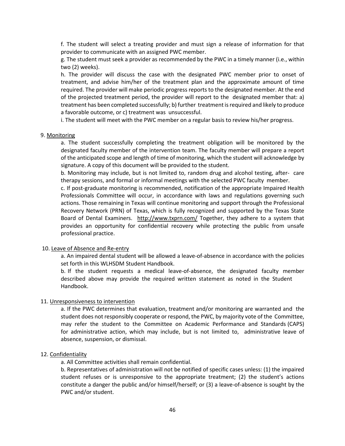f. The student will select a treating provider and must sign a release of information for that provider to communicate with an assigned PWC member.

g. The student must seek a provider as recommended by the PWC in a timely manner (i.e., within two (2) weeks).

h. The provider will discuss the case with the designated PWC member prior to onset of treatment, and advise him/her of the treatment plan and the approximate amount of time required. The provider will make periodic progress reports to the designated member. At the end of the projected treatment period, the provider will report to the designated member that: a) treatment has been completed successfully; b) further treatment is required and likely to produce a favorable outcome, or c) treatment was unsuccessful.

i. The student will meet with the PWC member on a regular basis to review his/her progress.

#### 9. Monitoring

a. The student successfully completing the treatment obligation will be monitored by the designated faculty member of the intervention team. The faculty member will prepare a report of the anticipated scope and length of time of monitoring, which the student will acknowledge by signature. A copy of this document will be provided to the student.

b. Monitoring may include, but is not limited to, random drug and alcohol testing, after- care therapy sessions, and formal or informal meetings with the selected PWC faculty member.

c. If post-graduate monitoring is recommended, notification of the appropriate Impaired Health Professionals Committee will occur, in accordance with laws and regulations governing such actions. Those remaining in Texas will continue monitoring and support through the Professional Recovery Network (PRN) of Texas, which is fully recognized and supported by the Texas State Board of Dental Examiners. http://www.txprn.com/ Together, they adhere to a system that provides an opportunity for confidential recovery while protecting the public from unsafe professional practice.

#### 10. Leave of Absence and Re-entry

a. An impaired dental student will be allowed a leave-of-absence in accordance with the policies set forth in this WLHSDM Student Handbook.

b. If the student requests a medical leave-of-absence, the designated faculty member described above may provide the required written statement as noted in the Student Handbook.

#### 11. Unresponsiveness to intervention

a. If the PWC determines that evaluation, treatment and/or monitoring are warranted and the student does not responsibly cooperate or respond, the PWC, by majority vote of the Committee, may refer the student to the Committee on Academic Performance and Standards (CAPS) for administrative action, which may include, but is not limited to, administrative leave of absence, suspension, or dismissal.

#### 12. Confidentiality

a. All Committee activities shall remain confidential.

b. Representatives of administration will not be notified of specific cases unless: (1) the impaired student refuses or is unresponsive to the appropriate treatment; (2) the student's actions constitute a danger the public and/or himself/herself; or (3) a leave-of-absence is sought by the PWC and/or student.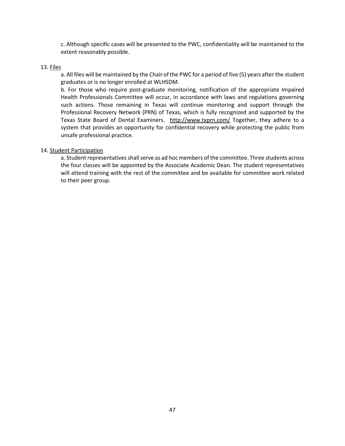c. Although specific cases will be presented to the PWC, confidentiality will be maintained to the extent reasonably possible.

### 13. Files

a. All files will be maintained by the Chair of the PWC for a period of five (5) years after the student graduates or is no longer enrolled at WLHSDM.

b. For those who require post-graduate monitoring, notification of the appropriate Impaired Health Professionals Committee will occur, in accordance with laws and regulations governing such actions. Those remaining in Texas will continue monitoring and support through the Professional Recovery Network (PRN) of Texas, which is fully recognized and supported by the Texas State Board of Dental Examiners. http://www.txprn.com/ Together, they adhere to a system that provides an opportunity for confidential recovery while protecting the public from unsafe professional practice.

### 14. Student Participation

a. Student representatives shall serve as ad hoc members of the committee. Three students across the four classes will be appointed by the Associate Academic Dean. The student representatives will attend training with the rest of the committee and be available for committee work related to their peer group.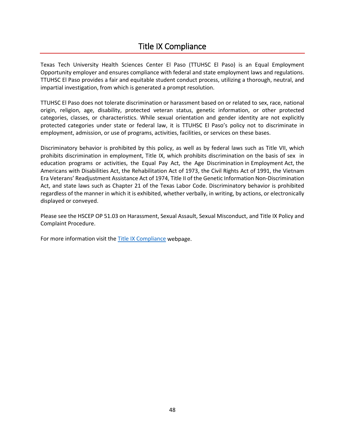### Title IX Compliance

<span id="page-47-0"></span>Texas Tech University Health Sciences Center El Paso (TTUHSC El Paso) is an Equal Employment Opportunity employer and ensures compliance with federal and state employment laws and regulations. TTUHSC El Paso provides a fair and equitable student conduct process, utilizing a thorough, neutral, and impartial investigation, from which is generated a prompt resolution.

TTUHSC El Paso does not tolerate discrimination or harassment based on or related to sex, race, national origin, religion, age, disability, protected veteran status, genetic information, or other protected categories, classes, or characteristics. While sexual orientation and gender identity are not explicitly protected categories under state or federal law, it is TTUHSC El Paso's policy not to discriminate in employment, admission, or use of programs, activities, facilities, or services on these bases.

Discriminatory behavior is prohibited by this policy, as well as by federal laws such as Title VII, which prohibits discrimination in employment, Title IX, which prohibits discrimination on the basis of sex in education programs or activities, the Equal Pay Act, the Age Discrimination in Employment Act, the Americans with Disabilities Act, the Rehabilitation Act of 1973, the Civil Rights Act of 1991, the Vietnam Era Veterans' Readjustment Assistance Act of 1974, Title II of the Genetic Information Non-Discrimination Act, and state laws such as Chapter 21 of the Texas Labor Code. Discriminatory behavior is prohibited regardless of the manner in which it is exhibited, whether verbally, in writing, by actions, or electronically displayed or conveyed.

Please see the HSCEP OP 51.03 on Harassment, Sexual Assault, Sexual Misconduct, and Title IX Policy and Complaint Procedure.

For more information visit the [Title IX Compliance](https://elpaso.ttuhsc.edu/hr/titleIXcompliance.aspx) webpage.